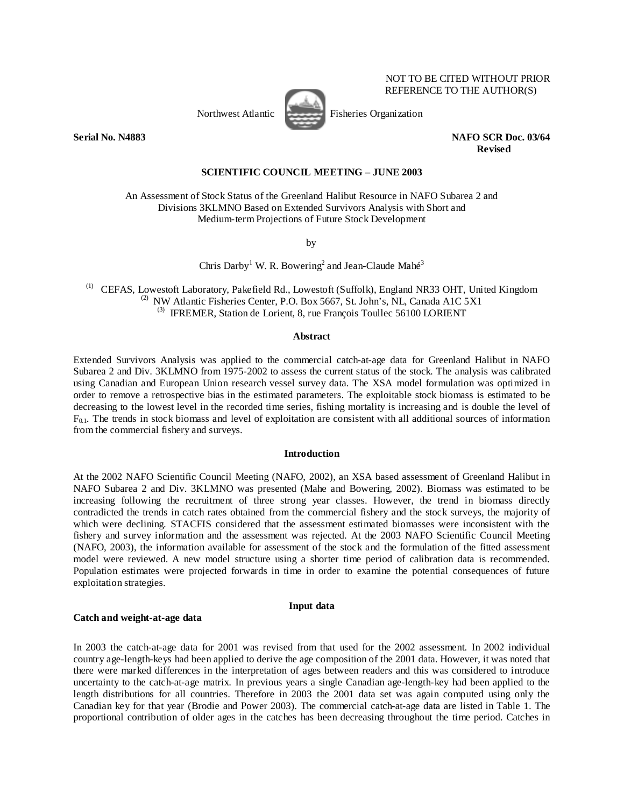

Northwest Atlantic Fisheries Organization

 NOT TO BE CITED WITHOUT PRIOR REFERENCE TO THE AUTHOR(S)

**Serial No. N4883 NAFO SCR Doc. 03/64 Revised** 

#### **SCIENTIFIC COUNCIL MEETING – JUNE 2003**

An Assessment of Stock Status of the Greenland Halibut Resource in NAFO Subarea 2 and Divisions 3KLMNO Based on Extended Survivors Analysis with Short and Medium-term Projections of Future Stock Development

by

Chris Darby<sup>1</sup> W. R. Bowering<sup>2</sup> and Jean-Claude Mahé<sup>3</sup>

(1) CEFAS, Lowestoft Laboratory, Pakefield Rd., Lowestoft (Suffolk), England NR33 OHT, United Kingdom <sup>(2)</sup> NW Atlantic Fisheries Center, P.O. Box 5667, St. John's, NL, Canada A1C 5X1  $^{(3)}$  IFREMER, Station de Lorient, 8, rue François Toullec 56100 LORIENT

#### **Abstract**

Extended Survivors Analysis was applied to the commercial catch-at-age data for Greenland Halibut in NAFO Subarea 2 and Div. 3KLMNO from 1975-2002 to assess the current status of the stock. The analysis was calibrated using Canadian and European Union research vessel survey data. The XSA model formulation was optimized in order to remove a retrospective bias in the estimated parameters. The exploitable stock biomass is estimated to be decreasing to the lowest level in the recorded time series, fishing mortality is increasing and is double the level of  $F_{0.1}$ . The trends in stock biomass and level of exploitation are consistent with all additional sources of information from the commercial fishery and surveys.

#### **Introduction**

At the 2002 NAFO Scientific Council Meeting (NAFO, 2002), an XSA based assessment of Greenland Halibut in NAFO Subarea 2 and Div. 3KLMNO was presented (Mahe and Bowering, 2002). Biomass was estimated to be increasing following the recruitment of three strong year classes. However, the trend in biomass directly contradicted the trends in catch rates obtained from the commercial fishery and the stock surveys, the majority of which were declining. STACFIS considered that the assessment estimated biomasses were inconsistent with the fishery and survey information and the assessment was rejected. At the 2003 NAFO Scientific Council Meeting (NAFO, 2003), the information available for assessment of the stock and the formulation of the fitted assessment model were reviewed. A new model structure using a shorter time period of calibration data is recommended. Population estimates were projected forwards in time in order to examine the potential consequences of future exploitation strategies.

# **Input data**

## **Catch and weight-at-age data**

In 2003 the catch-at-age data for 2001 was revised from that used for the 2002 assessment. In 2002 individual country age-length-keys had been applied to derive the age composition of the 2001 data. However, it was noted that there were marked differences in the interpretation of ages between readers and this was considered to introduce uncertainty to the catch-at-age matrix. In previous years a single Canadian age-length-key had been applied to the length distributions for all countries. Therefore in 2003 the 2001 data set was again computed using only the Canadian key for that year (Brodie and Power 2003). The commercial catch-at-age data are listed in Table 1. The proportional contribution of older ages in the catches has been decreasing throughout the time period. Catches in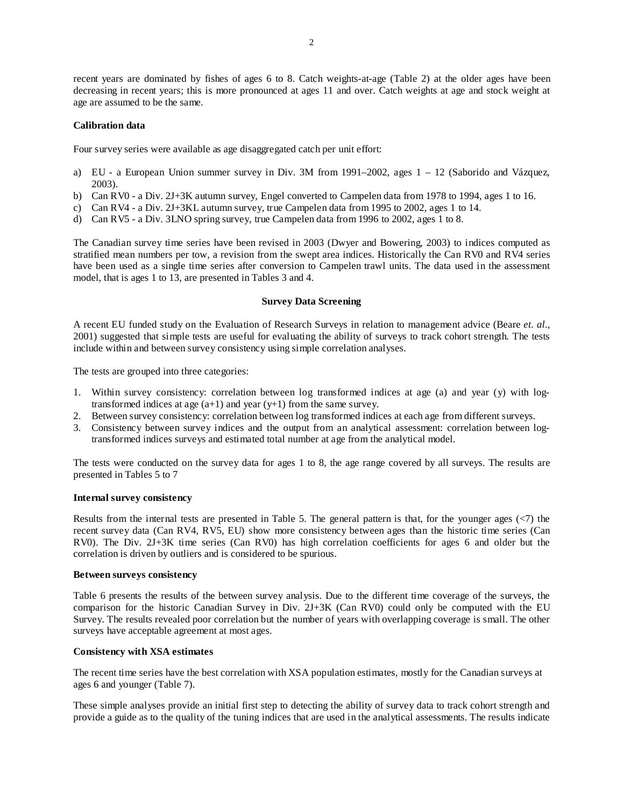recent years are dominated by fishes of ages 6 to 8. Catch weights-at-age (Table 2) at the older ages have been decreasing in recent years; this is more pronounced at ages 11 and over. Catch weights at age and stock weight at age are assumed to be the same.

## **Calibration data**

Four survey series were available as age disaggregated catch per unit effort:

- a) EU a European Union summer survey in Div. 3M from 1991–2002, ages  $1 12$  (Saborido and Vázquez, 2003).
- b) Can RV0 a Div. 2J+3K autumn survey, Engel converted to Campelen data from 1978 to 1994, ages 1 to 16.
- c) Can RV4 a Div. 2J+3KL autumn survey, true Campelen data from 1995 to 2002, ages 1 to 14.
- d) Can RV5 a Div. 3LNO spring survey, true Campelen data from 1996 to 2002, ages 1 to 8.

The Canadian survey time series have been revised in 2003 (Dwyer and Bowering, 2003) to indices computed as stratified mean numbers per tow, a revision from the swept area indices. Historically the Can RV0 and RV4 series have been used as a single time series after conversion to Campelen trawl units. The data used in the assessment model, that is ages 1 to 13, are presented in Tables 3 and 4.

# **Survey Data Screening**

A recent EU funded study on the Evaluation of Research Surveys in relation to management advice (Beare *et. al.*, 2001) suggested that simple tests are useful for evaluating the ability of surveys to track cohort strength. The tests include within and between survey consistency using simple correlation analyses.

The tests are grouped into three categories:

- 1. Within survey consistency: correlation between log transformed indices at age (a) and year (y) with logtransformed indices at age  $(a+1)$  and year  $(y+1)$  from the same survey.
- 2. Between survey consistency: correlation between log transformed indices at each age from different surveys.
- 3. Consistency between survey indices and the output from an analytical assessment: correlation between logtransformed indices surveys and estimated total number at age from the analytical model.

The tests were conducted on the survey data for ages 1 to 8, the age range covered by all surveys. The results are presented in Tables 5 to 7

## **Internal survey consistency**

Results from the internal tests are presented in Table 5. The general pattern is that, for the younger ages (<7) the recent survey data (Can RV4, RV5, EU) show more consistency between ages than the historic time series (Can RV0). The Div. 2J+3K time series (Can RV0) has high correlation coefficients for ages 6 and older but the correlation is driven by outliers and is considered to be spurious.

#### **Between surveys consistency**

Table 6 presents the results of the between survey analysis. Due to the different time coverage of the surveys, the comparison for the historic Canadian Survey in Div. 2J+3K (Can RV0) could only be computed with the EU Survey. The results revealed poor correlation but the number of years with overlapping coverage is small. The other surveys have acceptable agreement at most ages.

# **Consistency with XSA estimates**

The recent time series have the best correlation with XSA population estimates, mostly for the Canadian surveys at ages 6 and younger (Table 7).

These simple analyses provide an initial first step to detecting the ability of survey data to track cohort strength and provide a guide as to the quality of the tuning indices that are used in the analytical assessments. The results indicate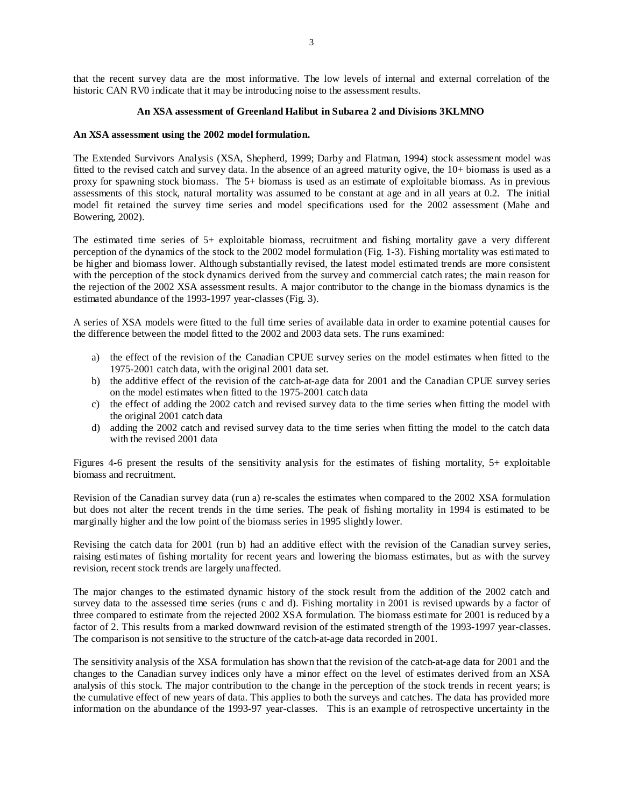that the recent survey data are the most informative. The low levels of internal and external correlation of the historic CAN RV0 indicate that it may be introducing noise to the assessment results.

# **An XSA assessment of Greenland Halibut in Subarea 2 and Divisions 3KLMNO**

# **An XSA assessment using the 2002 model formulation.**

The Extended Survivors Analysis (XSA, Shepherd, 1999; Darby and Flatman, 1994) stock assessment model was fitted to the revised catch and survey data. In the absence of an agreed maturity ogive, the 10+ biomass is used as a proxy for spawning stock biomass. The 5+ biomass is used as an estimate of exploitable biomass. As in previous assessments of this stock, natural mortality was assumed to be constant at age and in all years at 0.2. The initial model fit retained the survey time series and model specifications used for the 2002 assessment (Mahe and Bowering, 2002).

The estimated time series of 5+ exploitable biomass, recruitment and fishing mortality gave a very different perception of the dynamics of the stock to the 2002 model formulation (Fig. 1-3). Fishing mortality was estimated to be higher and biomass lower. Although substantially revised, the latest model estimated trends are more consistent with the perception of the stock dynamics derived from the survey and commercial catch rates; the main reason for the rejection of the 2002 XSA assessment results. A major contributor to the change in the biomass dynamics is the estimated abundance of the 1993-1997 year-classes (Fig. 3).

A series of XSA models were fitted to the full time series of available data in order to examine potential causes for the difference between the model fitted to the 2002 and 2003 data sets. The runs examined:

- a) the effect of the revision of the Canadian CPUE survey series on the model estimates when fitted to the 1975-2001 catch data, with the original 2001 data set.
- b) the additive effect of the revision of the catch-at-age data for 2001 and the Canadian CPUE survey series on the model estimates when fitted to the 1975-2001 catch data
- c) the effect of adding the 2002 catch and revised survey data to the time series when fitting the model with the original 2001 catch data
- d) adding the 2002 catch and revised survey data to the time series when fitting the model to the catch data with the revised 2001 data

Figures 4-6 present the results of the sensitivity analysis for the estimates of fishing mortality, 5+ exploitable biomass and recruitment.

Revision of the Canadian survey data (run a) re-scales the estimates when compared to the 2002 XSA formulation but does not alter the recent trends in the time series. The peak of fishing mortality in 1994 is estimated to be marginally higher and the low point of the biomass series in 1995 slightly lower.

Revising the catch data for 2001 (run b) had an additive effect with the revision of the Canadian survey series, raising estimates of fishing mortality for recent years and lowering the biomass estimates, but as with the survey revision, recent stock trends are largely unaffected.

The major changes to the estimated dynamic history of the stock result from the addition of the 2002 catch and survey data to the assessed time series (runs c and d). Fishing mortality in 2001 is revised upwards by a factor of three compared to estimate from the rejected 2002 XSA formulation. The biomass estimate for 2001 is reduced by a factor of 2. This results from a marked downward revision of the estimated strength of the 1993-1997 year-classes. The comparison is not sensitive to the structure of the catch-at-age data recorded in 2001.

The sensitivity analysis of the XSA formulation has shown that the revision of the catch-at-age data for 2001 and the changes to the Canadian survey indices only have a minor effect on the level of estimates derived from an XSA analysis of this stock. The major contribution to the change in the perception of the stock trends in recent years; is the cumulative effect of new years of data. This applies to both the surveys and catches. The data has provided more information on the abundance of the 1993-97 year-classes. This is an example of retrospective uncertainty in the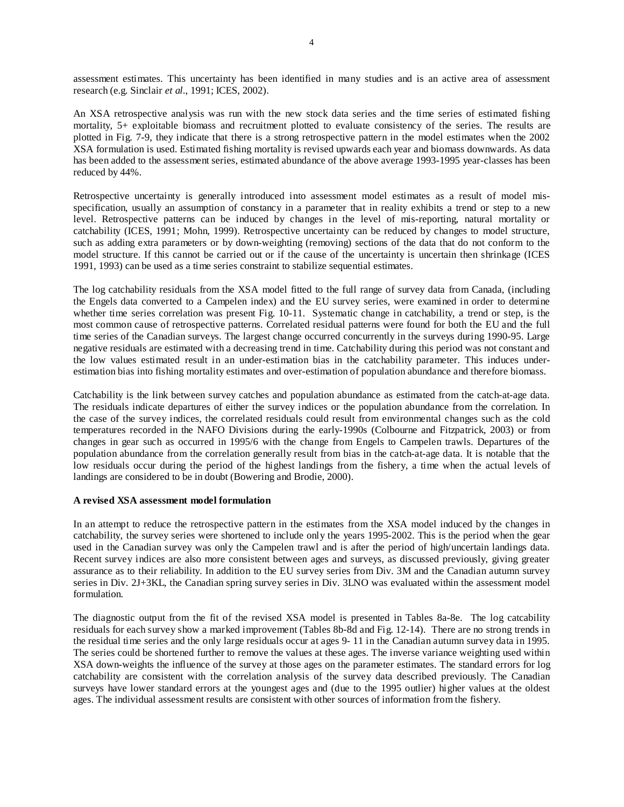assessment estimates. This uncertainty has been identified in many studies and is an active area of assessment research (e.g. Sinclair *et al*., 1991; ICES, 2002).

An XSA retrospective analysis was run with the new stock data series and the time series of estimated fishing mortality, 5+ exploitable biomass and recruitment plotted to evaluate consistency of the series. The results are plotted in Fig. 7-9, they indicate that there is a strong retrospective pattern in the model estimates when the 2002 XSA formulation is used. Estimated fishing mortality is revised upwards each year and biomass downwards. As data has been added to the assessment series, estimated abundance of the above average 1993-1995 year-classes has been reduced by 44%.

Retrospective uncertainty is generally introduced into assessment model estimates as a result of model misspecification, usually an assumption of constancy in a parameter that in reality exhibits a trend or step to a new level. Retrospective patterns can be induced by changes in the level of mis-reporting, natural mortality or catchability (ICES, 1991; Mohn, 1999). Retrospective uncertainty can be reduced by changes to model structure, such as adding extra parameters or by down-weighting (removing) sections of the data that do not conform to the model structure. If this cannot be carried out or if the cause of the uncertainty is uncertain then shrinkage (ICES 1991, 1993) can be used as a time series constraint to stabilize sequential estimates.

The log catchability residuals from the XSA model fitted to the full range of survey data from Canada, (including the Engels data converted to a Campelen index) and the EU survey series, were examined in order to determine whether time series correlation was present Fig. 10-11. Systematic change in catchability, a trend or step, is the most common cause of retrospective patterns. Correlated residual patterns were found for both the EU and the full time series of the Canadian surveys. The largest change occurred concurrently in the surveys during 1990-95. Large negative residuals are estimated with a decreasing trend in time. Catchability during this period was not constant and the low values estimated result in an under-estimation bias in the catchability parameter. This induces underestimation bias into fishing mortality estimates and over-estimation of population abundance and therefore biomass.

Catchability is the link between survey catches and population abundance as estimated from the catch-at-age data. The residuals indicate departures of either the survey indices or the population abundance from the correlation. In the case of the survey indices, the correlated residuals could result from environmental changes such as the cold temperatures recorded in the NAFO Divisions during the early-1990s (Colbourne and Fitzpatrick, 2003) or from changes in gear such as occurred in 1995/6 with the change from Engels to Campelen trawls. Departures of the population abundance from the correlation generally result from bias in the catch-at-age data. It is notable that the low residuals occur during the period of the highest landings from the fishery, a time when the actual levels of landings are considered to be in doubt (Bowering and Brodie, 2000).

## **A revised XSA assessment model formulation**

In an attempt to reduce the retrospective pattern in the estimates from the XSA model induced by the changes in catchability, the survey series were shortened to include only the years 1995-2002. This is the period when the gear used in the Canadian survey was only the Campelen trawl and is after the period of high/uncertain landings data. Recent survey indices are also more consistent between ages and surveys, as discussed previously, giving greater assurance as to their reliability. In addition to the EU survey series from Div. 3M and the Canadian autumn survey series in Div. 2J+3KL, the Canadian spring survey series in Div. 3LNO was evaluated within the assessment model formulation.

The diagnostic output from the fit of the revised XSA model is presented in Tables 8a-8e. The log catcability residuals for each survey show a marked improvement (Tables 8b-8d and Fig. 12-14). There are no strong trends in the residual time series and the only large residuals occur at ages 9- 11 in the Canadian autumn survey data in 1995. The series could be shortened further to remove the values at these ages. The inverse variance weighting used within XSA down-weights the influence of the survey at those ages on the parameter estimates. The standard errors for log catchability are consistent with the correlation analysis of the survey data described previously. The Canadian surveys have lower standard errors at the youngest ages and (due to the 1995 outlier) higher values at the oldest ages. The individual assessment results are consistent with other sources of information from the fishery.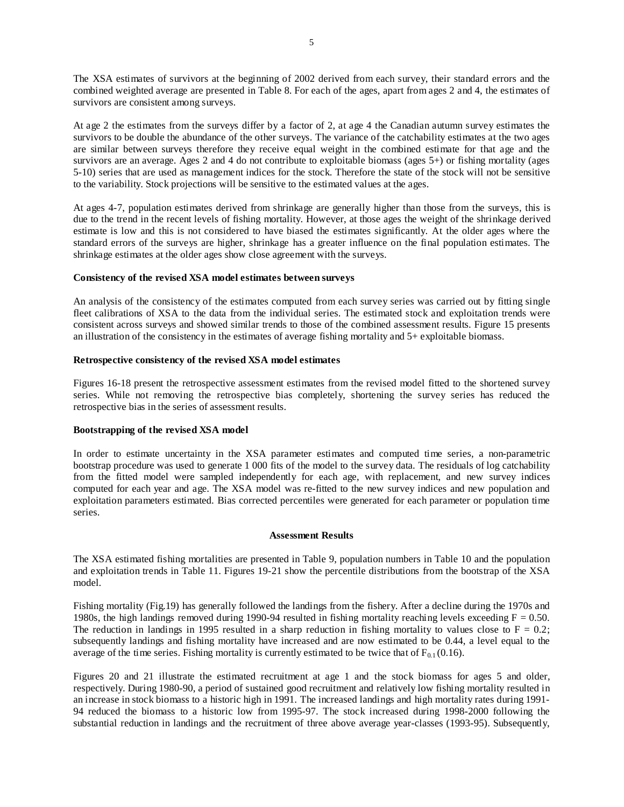The XSA estimates of survivors at the beginning of 2002 derived from each survey, their standard errors and the combined weighted average are presented in Table 8. For each of the ages, apart from ages 2 and 4, the estimates of survivors are consistent among surveys.

At age 2 the estimates from the surveys differ by a factor of 2, at age 4 the Canadian autumn survey estimates the survivors to be double the abundance of the other surveys. The variance of the catchability estimates at the two ages are similar between surveys therefore they receive equal weight in the combined estimate for that age and the survivors are an average. Ages 2 and 4 do not contribute to exploitable biomass (ages 5+) or fishing mortality (ages 5-10) series that are used as management indices for the stock. Therefore the state of the stock will not be sensitive to the variability. Stock projections will be sensitive to the estimated values at the ages.

At ages 4-7, population estimates derived from shrinkage are generally higher than those from the surveys, this is due to the trend in the recent levels of fishing mortality. However, at those ages the weight of the shrinkage derived estimate is low and this is not considered to have biased the estimates significantly. At the older ages where the standard errors of the surveys are higher, shrinkage has a greater influence on the final population estimates. The shrinkage estimates at the older ages show close agreement with the surveys.

# **Consistency of the revised XSA model estimates between surveys**

An analysis of the consistency of the estimates computed from each survey series was carried out by fitting single fleet calibrations of XSA to the data from the individual series. The estimated stock and exploitation trends were consistent across surveys and showed similar trends to those of the combined assessment results. Figure 15 presents an illustration of the consistency in the estimates of average fishing mortality and 5+ exploitable biomass.

# **Retrospective consistency of the revised XSA model estimates**

Figures 16-18 present the retrospective assessment estimates from the revised model fitted to the shortened survey series. While not removing the retrospective bias completely, shortening the survey series has reduced the retrospective bias in the series of assessment results.

## **Bootstrapping of the revised XSA model**

In order to estimate uncertainty in the XSA parameter estimates and computed time series, a non-parametric bootstrap procedure was used to generate 1 000 fits of the model to the survey data. The residuals of log catchability from the fitted model were sampled independently for each age, with replacement, and new survey indices computed for each year and age. The XSA model was re-fitted to the new survey indices and new population and exploitation parameters estimated. Bias corrected percentiles were generated for each parameter or population time series.

## **Assessment Results**

The XSA estimated fishing mortalities are presented in Table 9, population numbers in Table 10 and the population and exploitation trends in Table 11. Figures 19-21 show the percentile distributions from the bootstrap of the XSA model.

Fishing mortality (Fig.19) has generally followed the landings from the fishery. After a decline during the 1970s and 1980s, the high landings removed during 1990-94 resulted in fishing mortality reaching levels exceeding  $F = 0.50$ . The reduction in landings in 1995 resulted in a sharp reduction in fishing mortality to values close to  $F = 0.2$ ; subsequently landings and fishing mortality have increased and are now estimated to be 0.44, a level equal to the average of the time series. Fishing mortality is currently estimated to be twice that of  $F_{0.1}$  (0.16).

Figures 20 and 21 illustrate the estimated recruitment at age 1 and the stock biomass for ages 5 and older, respectively. During 1980-90, a period of sustained good recruitment and relatively low fishing mortality resulted in an increase in stock biomass to a historic high in 1991. The increased landings and high mortality rates during 1991- 94 reduced the biomass to a historic low from 1995-97. The stock increased during 1998-2000 following the substantial reduction in landings and the recruitment of three above average year-classes (1993-95). Subsequently,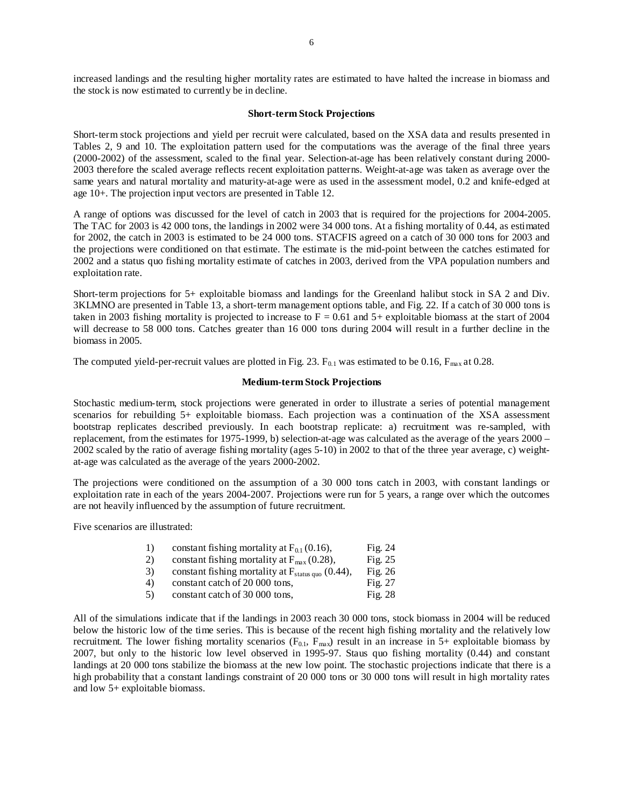increased landings and the resulting higher mortality rates are estimated to have halted the increase in biomass and the stock is now estimated to currently be in decline.

#### **Short-term Stock Projections**

Short-term stock projections and yield per recruit were calculated, based on the XSA data and results presented in Tables 2, 9 and 10. The exploitation pattern used for the computations was the average of the final three years (2000-2002) of the assessment, scaled to the final year. Selection-at-age has been relatively constant during 2000- 2003 therefore the scaled average reflects recent exploitation patterns. Weight-at-age was taken as average over the same years and natural mortality and maturity-at-age were as used in the assessment model, 0.2 and knife-edged at age 10+. The projection input vectors are presented in Table 12.

A range of options was discussed for the level of catch in 2003 that is required for the projections for 2004-2005. The TAC for 2003 is 42 000 tons, the landings in 2002 were 34 000 tons. At a fishing mortality of 0.44, as estimated for 2002, the catch in 2003 is estimated to be 24 000 tons. STACFIS agreed on a catch of 30 000 tons for 2003 and the projections were conditioned on that estimate. The estimate is the mid-point between the catches estimated for 2002 and a status quo fishing mortality estimate of catches in 2003, derived from the VPA population numbers and exploitation rate.

Short-term projections for 5+ exploitable biomass and landings for the Greenland halibut stock in SA 2 and Div. 3KLMNO are presented in Table 13, a short-term management options table, and Fig. 22. If a catch of 30 000 tons is taken in 2003 fishing mortality is projected to increase to  $F = 0.61$  and  $5+$  exploitable biomass at the start of 2004 will decrease to 58 000 tons. Catches greater than 16 000 tons during 2004 will result in a further decline in the biomass in 2005.

The computed yield-per-recruit values are plotted in Fig. 23.  $F_{0.1}$  was estimated to be 0.16,  $F_{\text{max}}$  at 0.28.

#### **Medium-term Stock Projections**

Stochastic medium-term, stock projections were generated in order to illustrate a series of potential management scenarios for rebuilding 5+ exploitable biomass. Each projection was a continuation of the XSA assessment bootstrap replicates described previously. In each bootstrap replicate: a) recruitment was re-sampled, with replacement, from the estimates for 1975-1999, b) selection-at-age was calculated as the average of the years 2000 – 2002 scaled by the ratio of average fishing mortality (ages 5-10) in 2002 to that of the three year average, c) weightat-age was calculated as the average of the years 2000-2002.

The projections were conditioned on the assumption of a 30 000 tons catch in 2003, with constant landings or exploitation rate in each of the years 2004-2007. Projections were run for 5 years, a range over which the outcomes are not heavily influenced by the assumption of future recruitment.

Five scenarios are illustrated:

| 1) | constant fishing mortality at $F_{0,1}(0.16)$ ,               | Fig. $24$ |
|----|---------------------------------------------------------------|-----------|
| 2) | constant fishing mortality at $F_{\text{max}}(0.28)$ ,        | Fig. $25$ |
| 3) | constant fishing mortality at $F_{\text{status quo}}$ (0.44), | Fig. $26$ |
| 4) | constant catch of 20 000 tons,                                | Fig. $27$ |
| 5) | constant catch of 30 000 tons,                                | Fig. 28   |
|    |                                                               |           |

All of the simulations indicate that if the landings in 2003 reach 30 000 tons, stock biomass in 2004 will be reduced below the historic low of the time series. This is because of the recent high fishing mortality and the relatively low recruitment. The lower fishing mortality scenarios  $(F_{0,1}, F_{\text{max}})$  result in an increase in 5+ exploitable biomass by 2007, but only to the historic low level observed in 1995-97. Staus quo fishing mortality (0.44) and constant landings at 20 000 tons stabilize the biomass at the new low point. The stochastic projections indicate that there is a high probability that a constant landings constraint of 20 000 tons or 30 000 tons will result in high mortality rates and low 5+ exploitable biomass.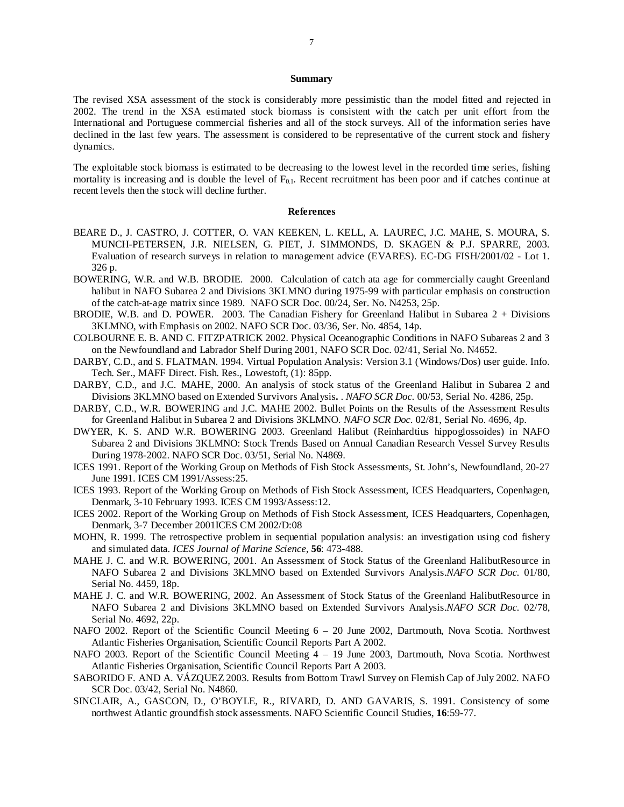#### **Summary**

The revised XSA assessment of the stock is considerably more pessimistic than the model fitted and rejected in 2002. The trend in the XSA estimated stock biomass is consistent with the catch per unit effort from the International and Portuguese commercial fisheries and all of the stock surveys. All of the information series have declined in the last few years. The assessment is considered to be representative of the current stock and fishery dynamics.

The exploitable stock biomass is estimated to be decreasing to the lowest level in the recorded time series, fishing mortality is increasing and is double the level of  $F_{0,1}$ . Recent recruitment has been poor and if catches continue at recent levels then the stock will decline further.

#### **References**

- BEARE D., J. CASTRO, J. COTTER, O. VAN KEEKEN, L. KELL, A. LAUREC, J.C. MAHE, S. MOURA, S. MUNCH-PETERSEN, J.R. NIELSEN, G. PIET, J. SIMMONDS, D. SKAGEN & P.J. SPARRE, 2003. Evaluation of research surveys in relation to management advice (EVARES). EC-DG FISH/2001/02 - Lot 1. 326 p.
- BOWERING, W.R. and W.B. BRODIE. 2000. Calculation of catch ata age for commercially caught Greenland halibut in NAFO Subarea 2 and Divisions 3KLMNO during 1975-99 with particular emphasis on construction of the catch-at-age matrix since 1989. NAFO SCR Doc. 00/24, Ser. No. N4253, 25p.
- BRODIE, W.B. and D. POWER. 2003. The Canadian Fishery for Greenland Halibut in Subarea 2 + Divisions 3KLMNO, with Emphasis on 2002. NAFO SCR Doc. 03/36, Ser. No. 4854, 14p.
- COLBOURNE E. B. AND C. FITZPATRICK 2002. Physical Oceanographic Conditions in NAFO Subareas 2 and 3 on the Newfoundland and Labrador Shelf During 2001, NAFO SCR Doc. 02/41, Serial No. N4652.
- DARBY, C.D., and S. FLATMAN. 1994. Virtual Population Analysis: Version 3.1 (Windows/Dos) user guide. Info. Tech. Ser., MAFF Direct. Fish. Res., Lowestoft, (1): 85pp.
- DARBY, C.D., and J.C. MAHE, 2000. An analysis of stock status of the Greenland Halibut in Subarea 2 and Divisions 3KLMNO based on Extended Survivors Analysis**.** . *NAFO SCR Doc.* 00/53, Serial No. 4286, 25p.
- DARBY, C.D., W.R. BOWERING and J.C. MAHE 2002. Bullet Points on the Results of the Assessment Results for Greenland Halibut in Subarea 2 and Divisions 3KLMNO. *NAFO SCR Doc.* 02/81, Serial No. 4696, 4p.
- DWYER, K. S. AND W.R. BOWERING 2003. Greenland Halibut (Reinhardtius hippoglossoides) in NAFO Subarea 2 and Divisions 3KLMNO: Stock Trends Based on Annual Canadian Research Vessel Survey Results During 1978-2002. NAFO SCR Doc. 03/51, Serial No. N4869.
- ICES 1991. Report of the Working Group on Methods of Fish Stock Assessments, St. John's, Newfoundland, 20-27 June 1991. ICES CM 1991/Assess:25.
- ICES 1993. Report of the Working Group on Methods of Fish Stock Assessment, ICES Headquarters, Copenhagen, Denmark, 3-10 February 1993. ICES CM 1993/Assess:12.
- ICES 2002. Report of the Working Group on Methods of Fish Stock Assessment, ICES Headquarters, Copenhagen, Denmark, 3-7 December 2001ICES CM 2002/D:08
- MOHN, R. 1999. The retrospective problem in sequential population analysis: an investigation using cod fishery and simulated data. *ICES Journal of Marine Science*, **56**: 473-488.
- MAHE J. C. and W.R. BOWERING, 2001. An Assessment of Stock Status of the Greenland HalibutResource in NAFO Subarea 2 and Divisions 3KLMNO based on Extended Survivors Analysis.*NAFO SCR Doc.* 01/80, Serial No. 4459, 18p.
- MAHE J. C. and W.R. BOWERING, 2002. An Assessment of Stock Status of the Greenland HalibutResource in NAFO Subarea 2 and Divisions 3KLMNO based on Extended Survivors Analysis.*NAFO SCR Doc.* 02/78, Serial No. 4692, 22p.
- NAFO 2002. Report of the Scientific Council Meeting  $6 20$  June 2002, Dartmouth, Nova Scotia. Northwest Atlantic Fisheries Organisation, Scientific Council Reports Part A 2002.
- NAFO 2003. Report of the Scientific Council Meeting 4 19 June 2003, Dartmouth, Nova Scotia. Northwest Atlantic Fisheries Organisation, Scientific Council Reports Part A 2003.
- SABORIDO F. AND A. VÁZQUEZ 2003. Results from Bottom Trawl Survey on Flemish Cap of July 2002. NAFO SCR Doc. 03/42, Serial No. N4860.
- SINCLAIR, A., GASCON, D., O'BOYLE, R., RIVARD, D. AND GAVARIS, S. 1991. Consistency of some northwest Atlantic groundfish stock assessments. NAFO Scientific Council Studies, **16**:59-77.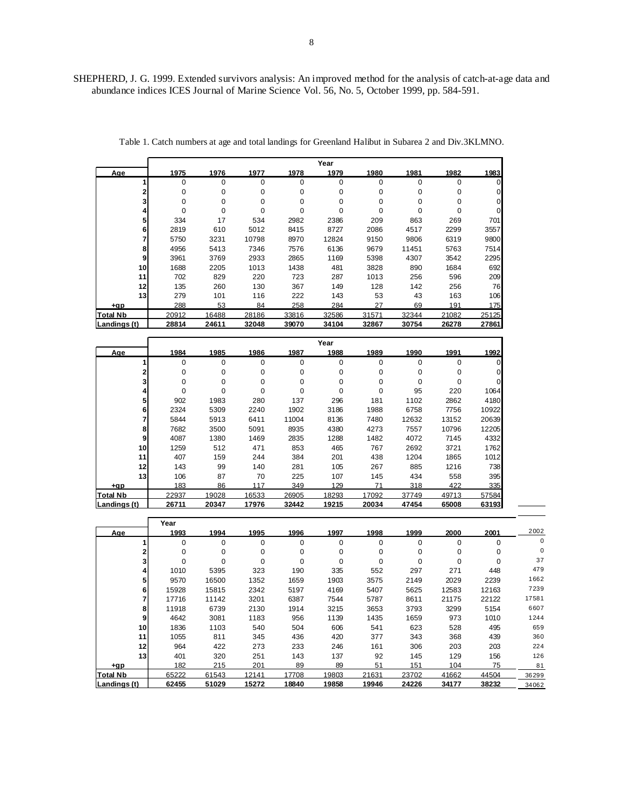SHEPHERD, J. G. 1999. Extended survivors analysis: An improved method for the analysis of catch-at-age data and abundance indices ICES Journal of Marine Science Vol. 56, No. 5, October 1999, pp. 584-591.

|                 |          |          |          |          | Year     |       |          |          |          |
|-----------------|----------|----------|----------|----------|----------|-------|----------|----------|----------|
| Age             | 1975     | 1976     | 1977     | 1978     | 1979     | 1980  | 1981     | 1982     | 1983     |
|                 | 0        | $\Omega$ | 0        | 0        | 0        | 0     | $\Omega$ | $\Omega$ |          |
|                 | $\Omega$ | 0        | 0        | $\Omega$ | 0        | 0     | $\Omega$ | 0        | 0        |
|                 | 0        | 0        | 0        | 0        | 0        | 0     | 0        | 0        | $\Omega$ |
|                 | $\Omega$ | 0        | $\Omega$ | $\Omega$ | $\Omega$ | 0     | $\Omega$ | $\Omega$ | $\Omega$ |
| 5               | 334      | 17       | 534      | 2982     | 2386     | 209   | 863      | 269      | 701      |
| 6               | 2819     | 610      | 5012     | 8415     | 8727     | 2086  | 4517     | 2299     | 3557     |
|                 | 5750     | 3231     | 10798    | 8970     | 12824    | 9150  | 9806     | 6319     | 9800     |
| 8               | 4956     | 5413     | 7346     | 7576     | 6136     | 9679  | 11451    | 5763     | 7514     |
| 9               | 3961     | 3769     | 2933     | 2865     | 1169     | 5398  | 4307     | 3542     | 2295     |
| 10              | 1688     | 2205     | 1013     | 1438     | 481      | 3828  | 890      | 1684     | 692      |
| 11              | 702      | 829      | 220      | 723      | 287      | 1013  | 256      | 596      | 209      |
| 12              | 135      | 260      | 130      | 367      | 149      | 128   | 142      | 256      | 76       |
| 13              | 279      | 101      | 116      | 222      | 143      | 53    | 43       | 163      | 106      |
| +ap             | 288      | 53       | 84       | 258      | 284      | 27    | 69       | 191      | 175      |
| <b>Total Nb</b> | 20912    | 16488    | 28186    | 33816    | 32586    | 31571 | 32344    | 21082    | 25125    |
| Landings (t)    | 28814    | 24611    | 32048    | 39070    | 34104    | 32867 | 30754    | 26278    | 27861    |

Table 1. Catch numbers at age and total landings for Greenland Halibut in Subarea 2 and Div.3KLMNO.

|                 |       |          |       |          | Year  |       |          |       |       |
|-----------------|-------|----------|-------|----------|-------|-------|----------|-------|-------|
| Age             | 1984  | 1985     | 1986  | 1987     | 1988  | 1989  | 1990     | 1991  | 1992  |
|                 | 0     | $\Omega$ | 0     | $\Omega$ | 0     | 0     | $\Omega$ | 0     |       |
|                 | 0     | 0        | 0     | $\Omega$ | 0     | 0     | 0        | 0     |       |
|                 | 0     | 0        | 0     | 0        | 0     | 0     | 0        | 0     |       |
|                 | 0     | 0        | 0     | $\Omega$ | 0     | 0     | 95       | 220   | 1064  |
| 5               | 902   | 1983     | 280   | 137      | 296   | 181   | 1102     | 2862  | 4180  |
|                 | 2324  | 5309     | 2240  | 1902     | 3186  | 1988  | 6758     | 7756  | 10922 |
|                 | 5844  | 5913     | 6411  | 11004    | 8136  | 7480  | 12632    | 13152 | 20639 |
| 8               | 7682  | 3500     | 5091  | 8935     | 4380  | 4273  | 7557     | 10796 | 12205 |
| 9               | 4087  | 1380     | 1469  | 2835     | 1288  | 1482  | 4072     | 7145  | 4332  |
| 10              | 1259  | 512      | 471   | 853      | 465   | 767   | 2692     | 3721  | 1762  |
| 11              | 407   | 159      | 244   | 384      | 201   | 438   | 1204     | 1865  | 1012  |
| 12              | 143   | 99       | 140   | 281      | 105   | 267   | 885      | 1216  | 738   |
| 13              | 106   | 87       | 70    | 225      | 107   | 145   | 434      | 558   | 395   |
| +gp             | 183   | 86       | 117   | 349      | 129   | 71    | 318      | 422   | 335   |
| <b>Total Nb</b> | 22937 | 19028    | 16533 | 26905    | 18293 | 17092 | 37749    | 49713 | 57584 |
| Landings (t)    | 26711 | 20347    | 17976 | 32442    | 19215 | 20034 | 47454    | 65008 | 63193 |

|                 | Year        |          |          |       |       |          |          |          |       |          |
|-----------------|-------------|----------|----------|-------|-------|----------|----------|----------|-------|----------|
| Age             | 1993        | 1994     | 1995     | 1996  | 1997  | 1998     | 1999     | 2000     | 2001  | 2002     |
|                 | $\mathbf 0$ | $\Omega$ | 0        | 0     | 0     | $\Omega$ | 0        | $\Omega$ | 0     | 0        |
|                 | 0           | 0        | 0        | 0     | 0     | $\Omega$ | 0        | 0        | 0     | $\Omega$ |
|                 | $\Omega$    | 0        | $\Omega$ | 0     |       | 0        | $\Omega$ | 0        |       | 37       |
|                 | 1010        | 5395     | 323      | 190   | 335   | 552      | 297      | 271      | 448   | 479      |
| 5               | 9570        | 16500    | 1352     | 1659  | 1903  | 3575     | 2149     | 2029     | 2239  | 1662     |
| 6               | 15928       | 15815    | 2342     | 5197  | 4169  | 5407     | 5625     | 12583    | 12163 | 7239     |
|                 | 17716       | 11142    | 3201     | 6387  | 7544  | 5787     | 8611     | 21175    | 22122 | 17581    |
| 8               | 11918       | 6739     | 2130     | 1914  | 3215  | 3653     | 3793     | 3299     | 5154  | 6607     |
| 9               | 4642        | 3081     | 1183     | 956   | 1139  | 1435     | 1659     | 973      | 1010  | 1244     |
| 10              | 1836        | 1103     | 540      | 504   | 606   | 541      | 623      | 528      | 495   | 659      |
| 11              | 1055        | 811      | 345      | 436   | 420   | 377      | 343      | 368      | 439   | 360      |
| 12              | 964         | 422      | 273      | 233   | 246   | 161      | 306      | 203      | 203   | 224      |
| 13              | 401         | 320      | 251      | 143   | 137   | 92       | 145      | 129      | 156   | 126      |
| +gp             | 182         | 215      | 201      | 89    | 89    | 51       | 151      | 104      | 75    | 81       |
| <b>Total Nb</b> | 65222       | 61543    | 12141    | 17708 | 19803 | 21631    | 23702    | 41662    | 44504 | 36299    |
| Landings (t)    | 62455       | 51029    | 15272    | 18840 | 19858 | 19946    | 24226    | 34177    | 38232 | 34062    |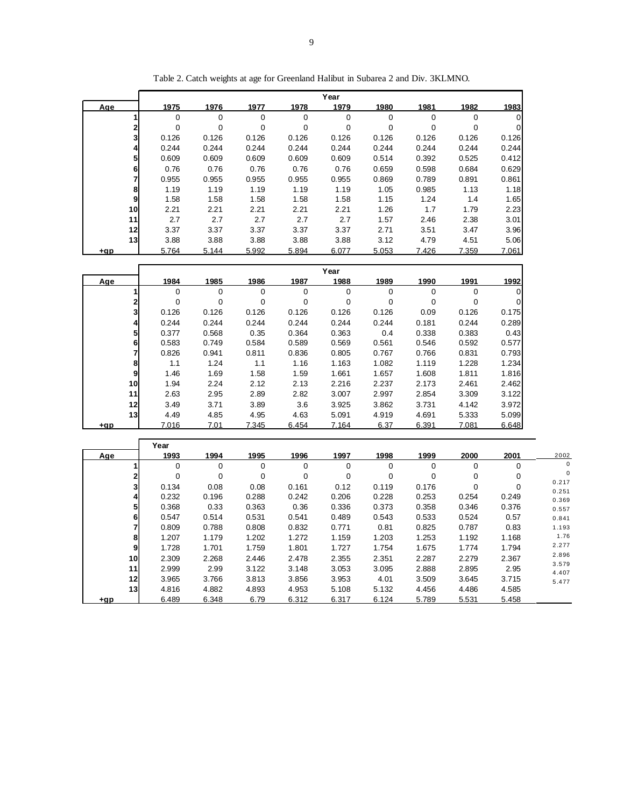|            |                                        |             |       |       | Year             |             |             |             |           |
|------------|----------------------------------------|-------------|-------|-------|------------------|-------------|-------------|-------------|-----------|
| <u>Aqe</u> | 1975                                   | 1976        | 1977  | 1978  | 1979             | 1980        | 1981        | 1982        | 1983      |
|            | 0<br>1                                 | $\pmb{0}$   | 0     | 0     | 0                | 0           | $\mathbf 0$ | $\pmb{0}$   | 0         |
|            | 2<br>$\mathbf 0$                       | $\mathbf 0$ | 0     | 0     | $\mathbf 0$      | 0           | $\mathbf 0$ | $\mathbf 0$ | 0         |
|            | 3<br>0.126                             | 0.126       | 0.126 | 0.126 | 0.126            | 0.126       | 0.126       | 0.126       | 0.126     |
|            | 0.244<br>4                             | 0.244       | 0.244 | 0.244 | 0.244            | 0.244       | 0.244       | 0.244       | 0.244     |
|            | 5<br>0.609                             | 0.609       | 0.609 | 0.609 | 0.609            | 0.514       | 0.392       | 0.525       | 0.412     |
|            | 6<br>0.76                              | 0.76        | 0.76  | 0.76  | 0.76             | 0.659       | 0.598       | 0.684       | 0.629     |
|            | 7<br>0.955                             | 0.955       | 0.955 | 0.955 | 0.955            | 0.869       | 0.789       | 0.891       | 0.861     |
|            | 1.19<br>8                              | 1.19        | 1.19  | 1.19  | 1.19             | 1.05        | 0.985       | 1.13        | 1.18      |
|            | 9<br>1.58                              | 1.58        | 1.58  | 1.58  | 1.58             | 1.15        | 1.24        | 1.4         | 1.65      |
|            | 10<br>2.21                             | 2.21        | 2.21  | 2.21  | 2.21             | 1.26        | 1.7         | 1.79        | 2.23      |
|            | 11<br>2.7                              | 2.7         | 2.7   | 2.7   | 2.7              | 1.57        | 2.46        | 2.38        | 3.01      |
|            | 12<br>3.37                             | 3.37        | 3.37  | 3.37  | 3.37             | 2.71        | 3.51        | 3.47        | 3.96      |
|            | 13<br>3.88                             | 3.88        | 3.88  | 3.88  | 3.88             | 3.12        | 4.79        | 4.51        | 5.06      |
| $+qp$      | 5.764                                  | 5.144       | 5.992 | 5.894 | 6.077            | 5.053       | 7.426       | 7.359       | 7.061     |
|            |                                        |             |       |       |                  |             |             |             |           |
|            |                                        |             |       |       | Year             |             |             |             |           |
| Age        | 1984                                   | 1985        | 1986  | 1987  | 1988             | 1989        | 1990        | 1991        | 1992      |
|            | 1<br>0                                 | $\mathbf 0$ | 0     | 0     | 0                | 0           | 0           | 0           | 0         |
|            | 2<br>0                                 | $\mathbf 0$ | 0     | 0     | 0                | 0           | 0           | $\mathbf 0$ | 0         |
|            | 3<br>0.126                             | 0.126       | 0.126 | 0.126 | 0.126            | 0.126       | 0.09        | 0.126       | 0.175     |
|            | $\overline{\mathbf{r}}$<br>0.244       | 0.244       | 0.244 | 0.244 | 0.244            | 0.244       | 0.181       | 0.244       | 0.289     |
|            | 5<br>0.377                             | 0.568       | 0.35  | 0.364 | 0.363            | 0.4         | 0.338       | 0.383       | 0.43      |
|            | 6<br>0.583                             | 0.749       | 0.584 | 0.589 | 0.569            | 0.561       | 0.546       | 0.592       | 0.577     |
|            |                                        |             |       |       |                  |             |             |             |           |
|            | 7<br>0.826                             | 0.941       | 0.811 | 0.836 | 0.805            | 0.767       | 0.766       | 0.831       | 0.793     |
|            | 8<br>1.1                               | 1.24        | 1.1   | 1.16  | 1.163            | 1.082       | 1.119       | 1.228       | 1.234     |
|            | 9<br>1.46                              | 1.69        | 1.58  | 1.59  | 1.661            | 1.657       | 1.608       | 1.811       | 1.816     |
|            | 10<br>1.94                             | 2.24        | 2.12  | 2.13  | 2.216            | 2.237       | 2.173       | 2.461       | 2.462     |
|            | 11<br>2.63                             | 2.95        | 2.89  | 2.82  | 3.007            | 2.997       | 2.854       | 3.309       | 3.122     |
|            | 12<br>3.49                             | 3.71        | 3.89  | 3.6   | 3.925            | 3.862       | 3.731       | 4.142       | 3.972     |
|            | 13<br>4.49                             | 4.85        | 4.95  | 4.63  | 5.091            | 4.919       | 4.691       | 5.333       | 5.099     |
| +ap        | 7.016                                  | 7.01        | 7.345 | 6.454 | 7.164            | 6.37        | 6.391       | 7.081       | 6.648     |
|            |                                        |             |       |       |                  |             |             |             |           |
|            | Year                                   |             |       |       |                  |             |             |             |           |
| Age        | 1993                                   | 1994        | 1995  | 1996  | 1997             | 1998        | 1999        | 2000        | 2001      |
|            | 1<br>0                                 | 0           | 0     | 0     | 0                | 0           | 0           | $\pmb{0}$   | 0         |
|            | $\overline{\mathbf{2}}$<br>$\mathbf 0$ | $\mathbf 0$ | 0     | 0     | $\boldsymbol{0}$ | $\mathbf 0$ | $\mathbf 0$ | $\pmb{0}$   | $\pmb{0}$ |
|            | 3<br>0.134                             | 0.08        | 0.08  | 0.161 | 0.12             | 0.119       | 0.176       | $\mathbf 0$ | 0         |
|            | 0.232<br>4                             | 0.196       | 0.288 | 0.242 | 0.206            | 0.228       | 0.253       | 0.254       | 0.249     |
|            | 5<br>0.368                             | 0.33        | 0.363 | 0.36  | 0.336            | 0.373       | 0.358       | 0.346       | 0.376     |
|            | 6<br>0.547                             | 0.514       | 0.531 | 0.541 | 0.489            | 0.543       | 0.533       | 0.524       | 0.57      |
|            | $\overline{7}$<br>0.809                | 0.788       | 0.808 | 0.832 | 0.771            | 0.81        | 0.825       | 0.787       | 0.83      |
|            | 1.207<br>8                             | 1.179       | 1.202 | 1.272 | 1.159            | 1.203       | 1.253       | 1.192       | 1.168     |
|            | 9<br>1.728                             | 1.701       | 1.759 | 1.801 | 1.727            | 1.754       | 1.675       | 1.774       | 1.794     |
|            | 10<br>2.309                            | 2.268       | 2.446 | 2.478 | 2.355            | 2.351       | 2.287       | 2.279       | 2.367     |
|            | 11<br>2.999                            | 2.99        | 3.122 | 3.148 | 3.053            | 3.095       | 2.888       | 2.895       | 2.95      |
|            | 12<br>3.965                            | 3.766       | 3.813 | 3.856 | 3.953            | 4.01        | 3.509       | 3.645       | 3.715     |

4.816 4.882 4.893 4.953 5.108 5.132 4.456 4.486 4.585

 0.217 0.251 0.369 0.557 0.841 1.193 1.76 2.277 2.896 3.579 4.407 5.477

 **+gp** 6.489 6.348 6.79 6.312 6.317 6.124 5.789 5.531 5.458

Table 2. Catch weights at age for Greenland Halibut in Subarea 2 and Div. 3KLMNO.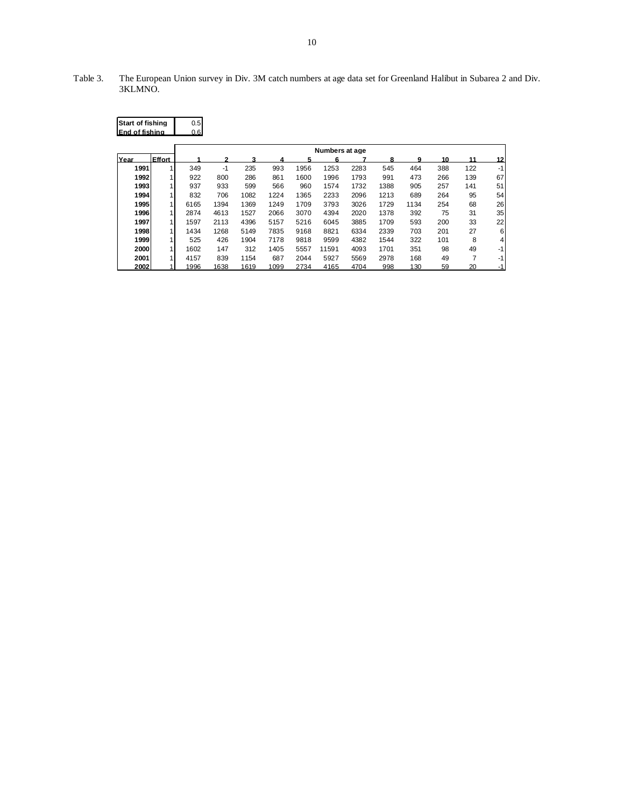Table 3. The European Union survey in Div. 3M catch numbers at age data set for Greenland Halibut in Subarea 2 and Div. 3KLMNO.

| <b>Start of fishing</b><br>End of fishing |                | 0.5<br>0.6 |                |      |      |      |       |      |      |      |     |     |      |  |
|-------------------------------------------|----------------|------------|----------------|------|------|------|-------|------|------|------|-----|-----|------|--|
|                                           |                |            | Numbers at age |      |      |      |       |      |      |      |     |     |      |  |
| Year                                      | Effort         |            |                | 3    |      |      | 6     |      |      | q    | 10  | 11  | 12   |  |
| 1991                                      | 1              | 349        | $-1$           | 235  | 993  | 1956 | 1253  | 2283 | 545  | 464  | 388 | 122 | $-1$ |  |
| 1992                                      | 1 <sub>1</sub> | 922        | 800            | 286  | 861  | 1600 | 1996  | 1793 | 991  | 473  | 266 | 139 | 67   |  |
| 1993                                      | 1 <sub>1</sub> | 937        | 933            | 599  | 566  | 960  | 1574  | 1732 | 1388 | 905  | 257 | 141 | 51   |  |
| 1994                                      | 1              | 832        | 706            | 1082 | 1224 | 1365 | 2233  | 2096 | 1213 | 689  | 264 | 95  | 54   |  |
| 1995                                      | 1              | 6165       | 1394           | 1369 | 1249 | 1709 | 3793  | 3026 | 1729 | 1134 | 254 | 68  | 26   |  |
| 1996                                      | 1 <sup>1</sup> | 2874       | 4613           | 1527 | 2066 | 3070 | 4394  | 2020 | 1378 | 392  | 75  | 31  | 35   |  |
| 1997                                      | 1              | 1597       | 2113           | 4396 | 5157 | 5216 | 6045  | 3885 | 1709 | 593  | 200 | 33  | 22   |  |
| 1998                                      | 1              | 1434       | 1268           | 5149 | 7835 | 9168 | 8821  | 6334 | 2339 | 703  | 201 | 27  | 6    |  |
| 1999                                      | 1 <sub>1</sub> | 525        | 426            | 1904 | 7178 | 9818 | 9599  | 4382 | 1544 | 322  | 101 | 8   | 4    |  |
| 2000                                      | 1              | 1602       | 147            | 312  | 1405 | 5557 | 11591 | 4093 | 1701 | 351  | 98  | 49  | -1   |  |
| 2001                                      | 1              | 4157       | 839            | 1154 | 687  | 2044 | 5927  | 5569 | 2978 | 168  | 49  | 7   | -1   |  |
| 2002                                      | $\mathbf 1$    | 1996       | 1638           | 1619 | 1099 | 2734 | 4165  | 4704 | 998  | 130  | 59  | 20  | -1   |  |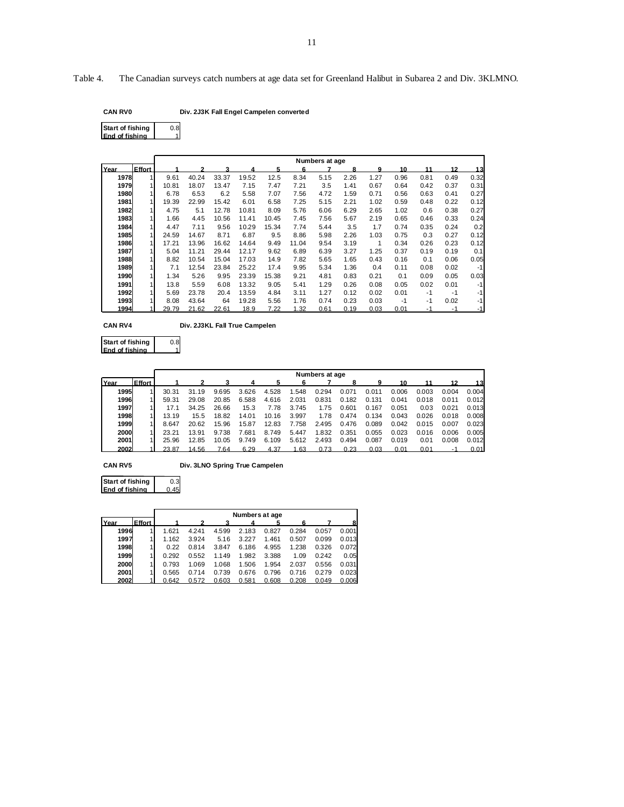Table 4. The Canadian surveys catch numbers at age data set for Greenland Halibut in Subarea 2 and Div. 3KLMNO.

| CAN RV0 | Div. 2J3K Fall Engel Campelen converted |
|---------|-----------------------------------------|
|---------|-----------------------------------------|

| Start of fishing       | n gl |
|------------------------|------|
| <b>IEnd of fishing</b> |      |
|                        |      |

|      |                |       |       |       |       |       |       | Numbers at age |      |      |      |      |      |      |
|------|----------------|-------|-------|-------|-------|-------|-------|----------------|------|------|------|------|------|------|
| Year | Effort         |       |       |       |       | 5     | 6     |                | 8    | 9    | 10   | 11   | 12   | 13   |
| 1978 | 1              | 9.61  | 40.24 | 33.37 | 19.52 | 12.5  | 8.34  | 5.15           | 2.26 | 1.27 | 0.96 | 0.81 | 0.49 | 0.32 |
| 1979 | 1              | 10.81 | 18.07 | 13.47 | 7.15  | 7.47  | 7.21  | 3.5            | 1.41 | 0.67 | 0.64 | 0.42 | 0.37 | 0.31 |
| 1980 |                | 6.78  | 6.53  | 6.2   | 5.58  | 7.07  | 7.56  | 4.72           | 1.59 | 0.71 | 0.56 | 0.63 | 0.41 | 0.27 |
| 1981 | 1              | 19.39 | 22.99 | 15.42 | 6.01  | 6.58  | 7.25  | 5.15           | 2.21 | 1.02 | 0.59 | 0.48 | 0.22 | 0.12 |
| 1982 | 1              | 4.75  | 5.1   | 12.78 | 10.81 | 8.09  | 5.76  | 6.06           | 6.29 | 2.65 | 1.02 | 0.6  | 0.38 | 0.27 |
| 1983 | 1              | 1.66  | 4.45  | 10.56 | 11.41 | 10.45 | 7.45  | 7.56           | 5.67 | 2.19 | 0.65 | 0.46 | 0.33 | 0.24 |
| 1984 | 1 <sup>1</sup> | 4.47  | 7.11  | 9.56  | 10.29 | 15.34 | 7.74  | 5.44           | 3.5  | 1.7  | 0.74 | 0.35 | 0.24 | 0.2  |
| 1985 | 1              | 24.59 | 14.67 | 8.71  | 6.87  | 9.5   | 8.86  | 5.98           | 2.26 | 1.03 | 0.75 | 0.3  | 0.27 | 0.12 |
| 1986 | 1              | 17.21 | 13.96 | 16.62 | 14.64 | 9.49  | 11.04 | 9.54           | 3.19 | 1    | 0.34 | 0.26 | 0.23 | 0.12 |
| 1987 | 1 <sup>1</sup> | 5.04  | 11.21 | 29.44 | 12.17 | 9.62  | 6.89  | 6.39           | 3.27 | 1.25 | 0.37 | 0.19 | 0.19 | 0.1  |
| 1988 | 1              | 8.82  | 10.54 | 15.04 | 17.03 | 14.9  | 7.82  | 5.65           | 1.65 | 0.43 | 0.16 | 0.1  | 0.06 | 0.05 |
| 1989 | 1              | 7.1   | 12.54 | 23.84 | 25.22 | 17.4  | 9.95  | 5.34           | 1.36 | 0.4  | 0.11 | 0.08 | 0.02 | $-1$ |
| 1990 | 1              | 1.34  | 5.26  | 9.95  | 23.39 | 15.38 | 9.21  | 4.81           | 0.83 | 0.21 | 0.1  | 0.09 | 0.05 | 0.03 |
| 1991 | 1 <sup>1</sup> | 13.8  | 5.59  | 6.08  | 13.32 | 9.05  | 5.41  | 1.29           | 0.26 | 0.08 | 0.05 | 0.02 | 0.01 | $-1$ |
| 1992 |                | 5.69  | 23.78 | 20.4  | 13.59 | 4.84  | 3.11  | 1.27           | 0.12 | 0.02 | 0.01 | $-1$ | $-1$ | $-1$ |
| 1993 |                | 8.08  | 43.64 | 64    | 19.28 | 5.56  | 1.76  | 0.74           | 0.23 | 0.03 | $-1$ | $-1$ | 0.02 | $-1$ |
| 1994 |                | 29.79 | 21.62 | 22.61 | 18.9  | 7.22  | 1.32  | 0.61           | 0.19 | 0.03 | 0.01 |      |      |      |

**CAN RV4 Div. 2J3KL Fall True Campelen**

0.8 **Start of fishing End of fishing**

|      |        |       | Numbers at age |       |       |       |       |       |       |       |       |       |       |       |
|------|--------|-------|----------------|-------|-------|-------|-------|-------|-------|-------|-------|-------|-------|-------|
| Year | Effort |       |                |       |       |       |       |       | 8     | q     |       |       |       | 13    |
| 1995 |        | 30.31 | 31.19          | 9.695 | 3.626 | 4.528 | 1.548 | 0.294 | 0.071 | 0.011 | 0.006 | 0.003 | 0.004 | 0.004 |
| 1996 |        | 59.31 | 29.08          | 20.85 | 6.588 | 4.616 | 2.031 | 0.831 | 0.182 | 0.131 | 0.041 | 0.018 | 0.011 | 0.012 |
| 1997 |        | 17.1  | 34.25          | 26.66 | 15.3  | 7.78  | 3.745 | 1.75  | 0.601 | 0.167 | 0.051 | 0.03  | 0.021 | 0.013 |
| 1998 |        | 13.19 | 15.5           | 18.82 | 14.01 | 10.16 | 3.997 | 1.78  | 0.474 | 0.134 | 0.043 | 0.026 | 0.018 | 0.008 |
| 1999 |        | 8.647 | 20.62          | 15.96 | 15.87 | 12.83 | 7.758 | 2.495 | 0.476 | 0.089 | 0.042 | 0.015 | 0.007 | 0.023 |
| 2000 |        | 23.21 | 13.91          | 9.738 | 7.681 | 8.749 | 5.447 | 1.832 | 0.351 | 0.055 | 0.023 | 0.016 | 0.006 | 0.005 |
| 2001 |        | 25.96 | 12.85          | 10.05 | 9.749 | 6.109 | 5.612 | 2.493 | 0.494 | 0.087 | 0.019 | 0.01  | 0.008 | 0.012 |
| 2002 |        | 23.87 | 14.56          | 7.64  | 6.29  | 4.37  | .63   | 0.73  | 0.23  | 0.03  | 0.01  | 0.01  | -1    | 0.01  |

**CAN RV5 Div. 3LNO Spring True Campelen**

0.3  $0.45$ **Start of fishing End of fishing**

|      |               |       |       |       | Numbers at age |       |       |       |       |
|------|---------------|-------|-------|-------|----------------|-------|-------|-------|-------|
| Year | <b>Fffort</b> |       |       |       |                |       |       |       | 8     |
| 1996 |               | 1.621 | 4.241 | 4.599 | 2.183          | 0.827 | 0.284 | 0.057 | 0.001 |
| 1997 |               | 1.162 | 3.924 | 5.16  | 3.227          | 1.461 | 0.507 | 0.099 | 0.013 |
| 1998 |               | 0.22  | 0.814 | 3.847 | 6.186          | 4.955 | 1.238 | 0.326 | 0.072 |
| 1999 |               | 0.292 | 0.552 | 1.149 | 1.982          | 3.388 | 1.09  | 0.242 | 0.05  |
| 2000 |               | 0.793 | 1.069 | 1.068 | 1.506          | 1.954 | 2.037 | 0.556 | 0.031 |
| 2001 |               | 0.565 | 0.714 | 0.739 | 0.676          | 0.796 | 0.716 | 0.279 | 0.023 |
| 2002 |               | 0.642 | 0.572 | 0.603 | 0.581          | 0.608 | 0.208 | 0.049 | 0.006 |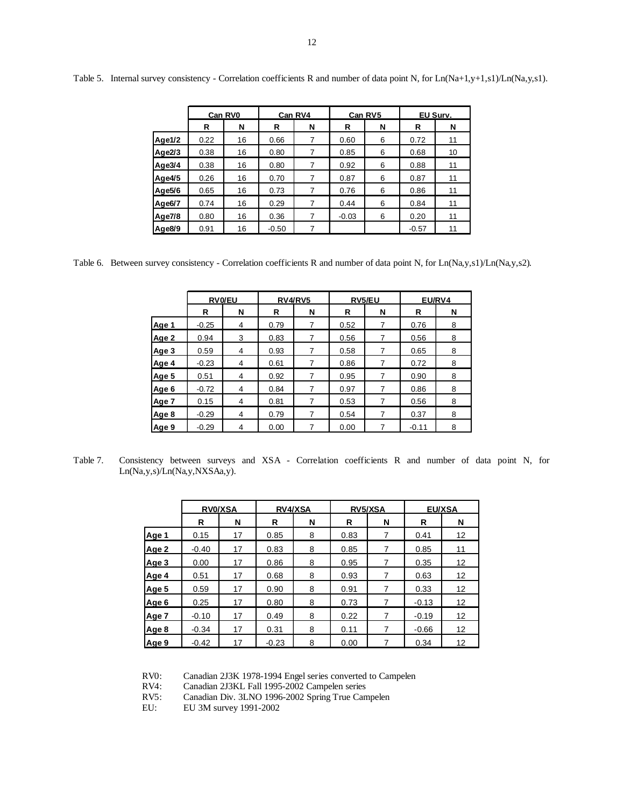|                     |      | Can RV0 |         | Can RV4 |         | Can RV5 | EU Surv. |    |  |
|---------------------|------|---------|---------|---------|---------|---------|----------|----|--|
|                     | R    | N       | R       | N       | R       | N       | R        | N  |  |
| Age1/2              | 0.22 | 16      | 0.66    | 7       | 0.60    | 6       | 0.72     | 11 |  |
| Age $2/3$           | 0.38 | 16      | 0.80    | 7       | 0.85    | 6       | 0.68     | 10 |  |
| Age3/4              | 0.38 | 16      | 0.80    | 7       | 0.92    | 6       | 0.88     | 11 |  |
| Age4/5              | 0.26 | 16      | 0.70    | 7       | 0.87    | 6       | 0.87     | 11 |  |
| Age5/6              | 0.65 | 16      | 0.73    |         | 0.76    | 6       | 0.86     | 11 |  |
| Age <sub>6</sub> /7 | 0.74 | 16      | 0.29    | 7       | 0.44    | 6       | 0.84     | 11 |  |
| Age7/8              | 0.80 | 16      | 0.36    | 7       | $-0.03$ | 6       | 0.20     | 11 |  |
| Age8/9              | 0.91 | 16      | $-0.50$ |         |         |         | $-0.57$  | 11 |  |

Table 5. Internal survey consistency - Correlation coefficients R and number of data point N, for Ln(Na+1,y+1,s1)/Ln(Na,y,s1).

Table 6. Between survey consistency - Correlation coefficients R and number of data point N, for Ln(Na,y,s1)/Ln(Na,y,s2).

|       | <b>RVO/EU</b> |   | RV4/RV5 |   | <b>RV5/EU</b> |   | EU/RV4  |   |
|-------|---------------|---|---------|---|---------------|---|---------|---|
|       | R             | N | R       | N | R             | N | R       | N |
| Age 1 | $-0.25$       | 4 | 0.79    | 7 | 0.52          | 7 | 0.76    | 8 |
| Age 2 | 0.94          | 3 | 0.83    | 7 | 0.56          | 7 | 0.56    | 8 |
| Age 3 | 0.59          | 4 | 0.93    | 7 | 0.58          | 7 | 0.65    | 8 |
| Age 4 | $-0.23$       | 4 | 0.61    | 7 | 0.86          | 7 | 0.72    | 8 |
| Age 5 | 0.51          | 4 | 0.92    | 7 | 0.95          | 7 | 0.90    | 8 |
| Age 6 | $-0.72$       | 4 | 0.84    | 7 | 0.97          | 7 | 0.86    | 8 |
| Age 7 | 0.15          | 4 | 0.81    | 7 | 0.53          | 7 | 0.56    | 8 |
| Age 8 | $-0.29$       | 4 | 0.79    | 7 | 0.54          | 7 | 0.37    | 8 |
| Age 9 | $-0.29$       | 4 | 0.00    | 7 | 0.00          | 7 | $-0.11$ | 8 |

Table 7. Consistency between surveys and XSA - Correlation coefficients R and number of data point N, for Ln(Na,y,s)/Ln(Na,y,NXSAa,y).

|       | <b>RVO/XSA</b> |    | <b>RV4/XSA</b> |   | <b>RV5/XSA</b> |   | <b>EU/XSA</b> |    |
|-------|----------------|----|----------------|---|----------------|---|---------------|----|
|       | R              | N  | R              | N | R              | N | R             | N  |
| Age 1 | 0.15           | 17 | 0.85           | 8 | 0.83           | 7 | 0.41          | 12 |
| Age 2 | $-0.40$        | 17 | 0.83           | 8 | 0.85           | 7 | 0.85          | 11 |
| Age 3 | 0.00           | 17 | 0.86           | 8 | 0.95           |   | 0.35          | 12 |
| Age 4 | 0.51           | 17 | 0.68           | 8 | 0.93           | 7 | 0.63          | 12 |
| Age 5 | 0.59           | 17 | 0.90           | 8 | 0.91           | 7 | 0.33          | 12 |
| Age 6 | 0.25           | 17 | 0.80           | 8 | 0.73           | 7 | $-0.13$       | 12 |
| Age 7 | $-0.10$        | 17 | 0.49           | 8 | 0.22           | 7 | $-0.19$       | 12 |
| Age 8 | $-0.34$        | 17 | 0.31           | 8 | 0.11           |   | $-0.66$       | 12 |
| Age 9 | $-0.42$        | 17 | $-0.23$        | 8 | 0.00           |   | 0.34          | 12 |

RV0: Canadian 2J3K 1978-1994 Engel series converted to Campelen RV4: Canadian 2J3KL Fall 1995-2002 Campelen series

Canadian 2J3KL Fall 1995-2002 Campelen series

RV5: Canadian Div. 3LNO 1996-2002 Spring True Campelen

EU: EU 3M survey 1991-2002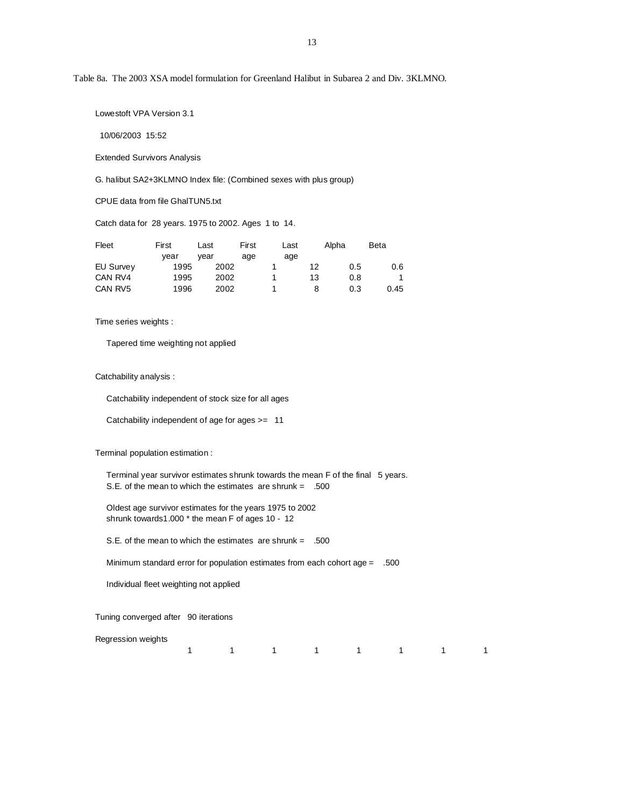Table 8a. The 2003 XSA model formulation for Greenland Halibut in Subarea 2 and Div. 3KLMNO.

Lowestoft VPA Version 3.1

10/06/2003 15:52

Extended Survivors Analysis

G. halibut SA2+3KLMNO Index file: (Combined sexes with plus group)

CPUE data from file GhalTUN5.txt

Catch data for 28 years. 1975 to 2002. Ages 1 to 14.

| Fleet            | First | Last | First | Last |    | Alpha | <b>Beta</b> |
|------------------|-------|------|-------|------|----|-------|-------------|
|                  | vear  | vear | age   | age  |    |       |             |
| <b>EU Survey</b> | 1995  | 2002 |       |      | 12 | 0.5   | 0.6         |
| CAN RV4          | 1995  | 2002 |       |      | 13 | 0.8   |             |
| CAN RV5          | 1996  | 2002 |       |      |    | 0.3   | 0.45        |

Time series weights :

Tapered time weighting not applied

Catchability analysis :

Catchability independent of stock size for all ages

Catchability independent of age for ages >= 11

Terminal population estimation :

Terminal year survivor estimates shrunk towards the mean F of the final 5 years. S.E. of the mean to which the estimates are shrunk = .500

 Oldest age survivor estimates for the years 1975 to 2002 shrunk towards1.000 \* the mean F of ages 10 - 12

S.E. of the mean to which the estimates are shrunk = .500

Minimum standard error for population estimates from each cohort age = .500

Individual fleet weighting not applied

Tuning converged after 90 iterations

Regression weights

1 1 1 1 1 1 1 1 1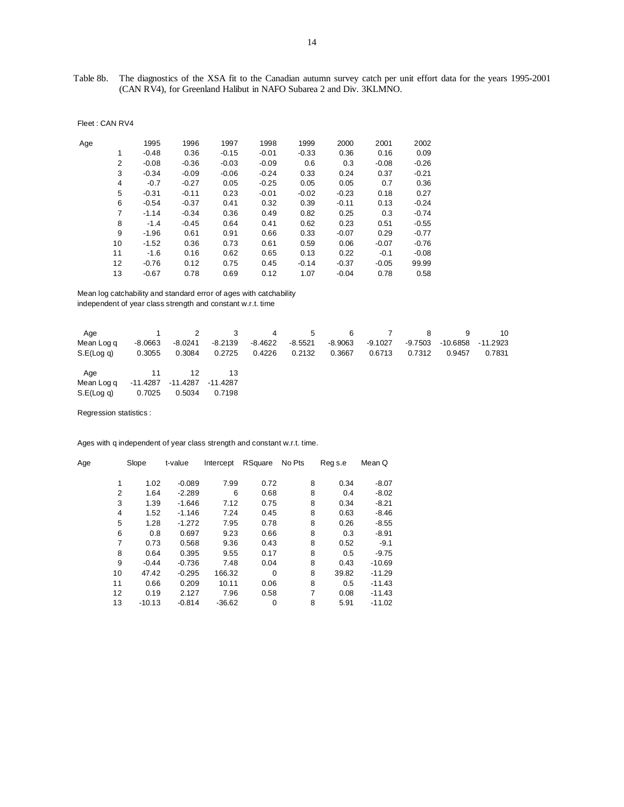Table 8b. The diagnostics of the XSA fit to the Canadian autumn survey catch per unit effort data for the years 1995-2001 (CAN RV4), for Greenland Halibut in NAFO Subarea 2 and Div. 3KLMNO.

| Age |    | 1995    | 1996    | 1997    | 1998    | 1999    | 2000    | 2001    | 2002    |
|-----|----|---------|---------|---------|---------|---------|---------|---------|---------|
|     | 1  | $-0.48$ | 0.36    | $-0.15$ | $-0.01$ | $-0.33$ | 0.36    | 0.16    | 0.09    |
|     | 2  | $-0.08$ | $-0.36$ | $-0.03$ | $-0.09$ | 0.6     | 0.3     | $-0.08$ | $-0.26$ |
|     | 3  | $-0.34$ | $-0.09$ | $-0.06$ | $-0.24$ | 0.33    | 0.24    | 0.37    | $-0.21$ |
|     | 4  | $-0.7$  | $-0.27$ | 0.05    | $-0.25$ | 0.05    | 0.05    | 0.7     | 0.36    |
|     | 5  | $-0.31$ | $-0.11$ | 0.23    | $-0.01$ | $-0.02$ | $-0.23$ | 0.18    | 0.27    |
|     | 6  | $-0.54$ | $-0.37$ | 0.41    | 0.32    | 0.39    | $-0.11$ | 0.13    | $-0.24$ |
|     | 7  | $-1.14$ | $-0.34$ | 0.36    | 0.49    | 0.82    | 0.25    | 0.3     | $-0.74$ |
|     | 8  | $-1.4$  | $-0.45$ | 0.64    | 0.41    | 0.62    | 0.23    | 0.51    | $-0.55$ |
|     | 9  | $-1.96$ | 0.61    | 0.91    | 0.66    | 0.33    | $-0.07$ | 0.29    | $-0.77$ |
|     | 10 | $-1.52$ | 0.36    | 0.73    | 0.61    | 0.59    | 0.06    | $-0.07$ | $-0.76$ |
|     | 11 | $-1.6$  | 0.16    | 0.62    | 0.65    | 0.13    | 0.22    | $-0.1$  | $-0.08$ |
|     | 12 | $-0.76$ | 0.12    | 0.75    | 0.45    | $-0.14$ | $-0.37$ | $-0.05$ | 99.99   |
|     | 13 | $-0.67$ | 0.78    | 0.69    | 0.12    | 1.07    | $-0.04$ | 0.78    | 0.58    |

Mean log catchability and standard error of ages with catchability

independent of year class strength and constant w.r.t. time

| Age        |           | 2         | -3        | 4       | 5         | -6        |           | 8       | 9        | 10       |
|------------|-----------|-----------|-----------|---------|-----------|-----------|-----------|---------|----------|----------|
| Mean Log q | $-8.0663$ | $-8.0241$ | $-8.2139$ | -8.4622 | $-8.5521$ | $-8.9063$ | $-9.1027$ | -9.7503 | -10.6858 | -11.2923 |
| S.E(Log q) | 0.3055    | 0.3084    | 0.2725    | 0.4226  | 0.2132    | 0.3667    | 0.6713    | 0.7312  | 0.9457   | 0.7831   |
| Age        | $\sim$ 11 | 12        |           |         |           |           |           |         |          |          |
| Mean Log q | -11.4287  | -11.4287  | -11.4287  |         |           |           |           |         |          |          |
| S.E(Log q) | 0.7025    | 0.5034    | 0.7198    |         |           |           |           |         |          |          |

Regression statistics :

Fleet : CAN RV4

Ages with q independent of year class strength and constant w.r.t. time.

| Age |                | Slope    | t-value  | Intercept | RSquare | No Pts | Reg s.e | Mean Q   |
|-----|----------------|----------|----------|-----------|---------|--------|---------|----------|
|     | 1              | 1.02     | $-0.089$ | 7.99      | 0.72    | 8      | 0.34    | $-8.07$  |
|     | $\overline{2}$ | 1.64     | $-2.289$ | 6         | 0.68    | 8      | 0.4     | $-8.02$  |
|     | 3              | 1.39     | $-1.646$ | 7.12      | 0.75    | 8      | 0.34    | $-8.21$  |
|     | 4              | 1.52     | $-1.146$ | 7.24      | 0.45    | 8      | 0.63    | $-8.46$  |
|     | 5              | 1.28     | $-1.272$ | 7.95      | 0.78    | 8      | 0.26    | $-8.55$  |
|     | 6              | 0.8      | 0.697    | 9.23      | 0.66    | 8      | 0.3     | $-8.91$  |
|     | 7              | 0.73     | 0.568    | 9.36      | 0.43    | 8      | 0.52    | $-9.1$   |
|     | 8              | 0.64     | 0.395    | 9.55      | 0.17    | 8      | 0.5     | $-9.75$  |
|     | 9              | $-0.44$  | $-0.736$ | 7.48      | 0.04    | 8      | 0.43    | $-10.69$ |
|     | 10             | 47.42    | $-0.295$ | 166.32    | 0       | 8      | 39.82   | $-11.29$ |
|     | 11             | 0.66     | 0.209    | 10.11     | 0.06    | 8      | 0.5     | $-11.43$ |
|     | 12             | 0.19     | 2.127    | 7.96      | 0.58    | 7      | 0.08    | $-11.43$ |
|     | 13             | $-10.13$ | $-0.814$ | $-36.62$  | 0       | 8      | 5.91    | $-11.02$ |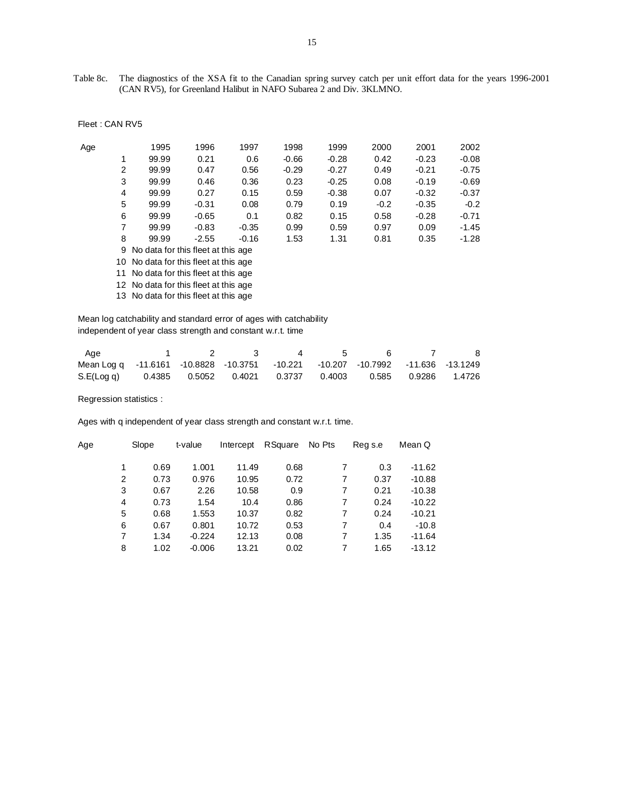Table 8c. The diagnostics of the XSA fit to the Canadian spring survey catch per unit effort data for the years 1996-2001 (CAN RV5), for Greenland Halibut in NAFO Subarea 2 and Div. 3KLMNO.

| Age |    | 1995                                 | 1996    | 1997    | 1998    | 1999    | 2000   | 2001    | 2002    |  |  |  |
|-----|----|--------------------------------------|---------|---------|---------|---------|--------|---------|---------|--|--|--|
|     | 1  | 99.99                                | 0.21    | 0.6     | $-0.66$ | $-0.28$ | 0.42   | $-0.23$ | $-0.08$ |  |  |  |
|     | 2  | 99.99                                | 0.47    | 0.56    | $-0.29$ | $-0.27$ | 0.49   | $-0.21$ | $-0.75$ |  |  |  |
|     | 3  | 99.99                                | 0.46    | 0.36    | 0.23    | $-0.25$ | 0.08   | $-0.19$ | $-0.69$ |  |  |  |
|     | 4  | 99.99                                | 0.27    | 0.15    | 0.59    | $-0.38$ | 0.07   | $-0.32$ | $-0.37$ |  |  |  |
|     | 5  | 99.99                                | $-0.31$ | 0.08    | 0.79    | 0.19    | $-0.2$ | $-0.35$ | $-0.2$  |  |  |  |
|     | 6  | 99.99                                | $-0.65$ | 0.1     | 0.82    | 0.15    | 0.58   | $-0.28$ | $-0.71$ |  |  |  |
|     | 7  | 99.99                                | $-0.83$ | $-0.35$ | 0.99    | 0.59    | 0.97   | 0.09    | $-1.45$ |  |  |  |
|     | 8  | 99.99                                | $-2.55$ | $-0.16$ | 1.53    | 1.31    | 0.81   | 0.35    | $-1.28$ |  |  |  |
|     |    | 9 No data for this fleet at this age |         |         |         |         |        |         |         |  |  |  |
|     | 10 | No data for this fleet at this age   |         |         |         |         |        |         |         |  |  |  |

11 No data for this fleet at this age

12 No data for this fleet at this age

13 No data for this fleet at this age

 Mean log catchability and standard error of ages with catchability independent of year class strength and constant w.r.t. time

| Age                                                                             |  | - 33 | $\overline{a}$ | $\sim$ 5 |  | - 8 |
|---------------------------------------------------------------------------------|--|------|----------------|----------|--|-----|
| Mean Log q -11.6161 -10.8828 -10.3751 -10.221 -10.207 -10.7992 -11.636 -13.1249 |  |      |                |          |  |     |
| S.E(Log q) 0.4385 0.5052 0.4021 0.3737 0.4003 0.585 0.9286 1.4726               |  |      |                |          |  |     |

Regression statistics :

Ages with q independent of year class strength and constant w.r.t. time.

| Age | Slope |      | t-value  | Intercept | RSquare | No Pts | Reg s.e | Mean Q   |
|-----|-------|------|----------|-----------|---------|--------|---------|----------|
|     | 1     | 0.69 | 1.001    | 11.49     | 0.68    |        | 0.3     | $-11.62$ |
|     | 2     | 0.73 | 0.976    | 10.95     | 0.72    | 7      | 0.37    | $-10.88$ |
|     | 3     | 0.67 | 2.26     | 10.58     | 0.9     |        | 0.21    | $-10.38$ |
|     | 4     | 0.73 | 1.54     | 10.4      | 0.86    | 7      | 0.24    | $-10.22$ |
|     | 5     | 0.68 | 1.553    | 10.37     | 0.82    | 7      | 0.24    | $-10.21$ |
|     | 6     | 0.67 | 0.801    | 10.72     | 0.53    | 7      | 0.4     | $-10.8$  |
|     | 7     | 1.34 | $-0.224$ | 12.13     | 0.08    | 7      | 1.35    | $-11.64$ |
|     | 8     | 1.02 | $-0.006$ | 13.21     | 0.02    | 7      | 1.65    | $-13.12$ |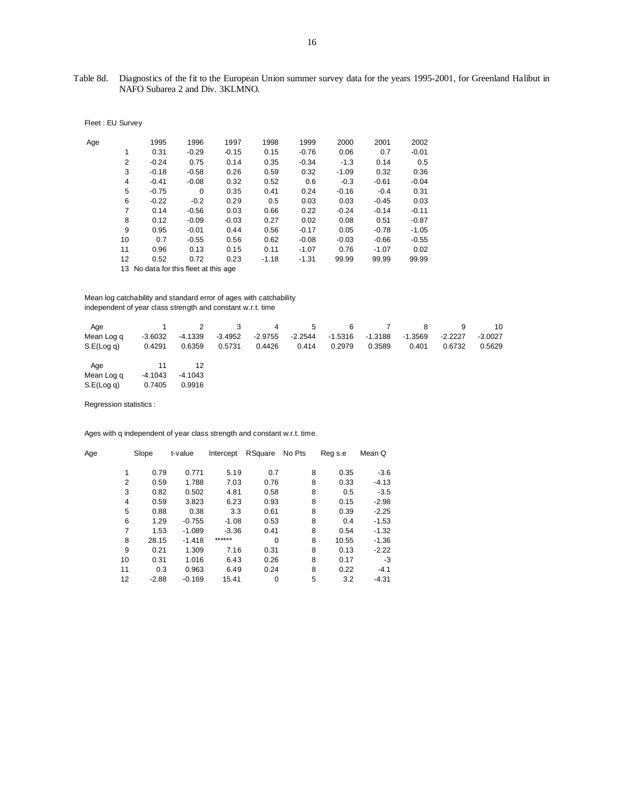# Table 8d. Diagnostics of the fit to the European Union summer survey data for the years 1995-2001, for Greenland Halibut in NAFO Subarea 2 and Div. 3KLMNO.

|  |  | Fleet: EU Survey |
|--|--|------------------|
|--|--|------------------|

| Age |                | 1995                                  | 1996     | 1997    | 1998    | 1999    | 2000    | 2001    | 2002    |
|-----|----------------|---------------------------------------|----------|---------|---------|---------|---------|---------|---------|
|     | 1              | 0.31                                  | $-0.29$  | $-0.15$ | 0.15    | $-0.76$ | 0.06    | 0.7     | $-0.01$ |
|     | 2              | $-0.24$                               | 0.75     | 0.14    | 0.35    | $-0.34$ | $-1.3$  | 0.14    | 0.5     |
|     | 3              | $-0.18$                               | $-0.58$  | 0.26    | 0.59    | 0.32    | $-1.09$ | 0.32    | 0.36    |
|     | $\overline{4}$ | $-0.41$                               | $-0.08$  | 0.32    | 0.52    | 0.6     | $-0.3$  | $-0.61$ | $-0.04$ |
|     | 5              | $-0.75$                               | $\Omega$ | 0.35    | 0.41    | 0.24    | $-0.16$ | $-0.4$  | 0.31    |
|     | 6              | $-0.22$                               | $-0.2$   | 0.29    | 0.5     | 0.03    | 0.03    | $-0.45$ | 0.03    |
|     | 7              | 0.14                                  | $-0.56$  | 0.03    | 0.66    | 0.22    | $-0.24$ | $-0.14$ | $-0.11$ |
|     | 8              | 0.12                                  | $-0.09$  | $-0.03$ | 0.27    | 0.02    | 0.08    | 0.51    | $-0.87$ |
|     | 9              | 0.95                                  | $-0.01$  | 0.44    | 0.56    | $-0.17$ | 0.05    | $-0.78$ | $-1.05$ |
|     | 10             | 0.7                                   | $-0.55$  | 0.56    | 0.62    | $-0.08$ | $-0.03$ | $-0.66$ | $-0.55$ |
|     | 11             | 0.96                                  | 0.13     | 0.15    | 0.11    | $-1.07$ | 0.76    | $-1.07$ | 0.02    |
|     | 12             | 0.52                                  | 0.72     | 0.23    | $-1.18$ | $-1.31$ | 99.99   | 99.99   | 99.99   |
|     |                | 13 No data for this fleet at this age |          |         |         |         |         |         |         |

 Mean log catchability and standard error of ages with catchability independent of year class strength and constant w.r.t. time

| Age              |           |           |           | 4         | -5        | 6         |         |           |           | 10        |
|------------------|-----------|-----------|-----------|-----------|-----------|-----------|---------|-----------|-----------|-----------|
| Mean Log q       | $-3.6032$ | -4.1339   | $-3.4952$ | $-2.9755$ | $-2.2544$ | $-1.5316$ | -1.3188 | $-1.3569$ | $-2.2227$ | $-3.0027$ |
| $S.E($ Log q $)$ | 0.4291    | 0.6359    | 0.5731    | 0.4426    | 0.414     | 0.2979    | 0.3589  | 0.401     | 0.6732    | 0.5629    |
| Age              | 11        | 12        |           |           |           |           |         |           |           |           |
| Mean Log q       | $-4.1043$ | $-4.1043$ |           |           |           |           |         |           |           |           |
| $S.E($ Log q $)$ | 0.7405    | 0.9916    |           |           |           |           |         |           |           |           |

Regression statistics :

Ages with q independent of year class strength and constant w.r.t. time.

| Age            | Slope   | t-value  | Intercept | RSquare     | No Pts | Reg s.e | Mean Q  |
|----------------|---------|----------|-----------|-------------|--------|---------|---------|
| 1              | 0.79    | 0.771    | 5.19      | 0.7         | 8      | 0.35    | $-3.6$  |
| $\overline{2}$ | 0.59    | 1.788    | 7.03      | 0.76        | 8      | 0.33    | $-4.13$ |
| 3              | 0.82    | 0.502    | 4.81      | 0.58        | 8      | 0.5     | $-3.5$  |
| 4              | 0.59    | 3.823    | 6.23      | 0.93        | 8      | 0.15    | $-2.98$ |
| 5              | 0.88    | 0.38     | 3.3       | 0.61        | 8      | 0.39    | $-2.25$ |
| 6              | 1.29    | $-0.755$ | $-1.08$   | 0.53        | 8      | 0.4     | $-1.53$ |
| $\overline{7}$ | 1.53    | $-1.089$ | $-3.36$   | 0.41        | 8      | 0.54    | $-1.32$ |
| 8              | 28.15   | $-1.418$ | ******    | $\Omega$    | 8      | 10.55   | $-1.36$ |
| 9              | 0.21    | 1.309    | 7.16      | 0.31        | 8      | 0.13    | $-2.22$ |
| 10             | 0.31    | 1.016    | 6.43      | 0.26        | 8      | 0.17    | -3      |
| 11             | 0.3     | 0.963    | 6.49      | 0.24        | 8      | 0.22    | $-4.1$  |
| 12             | $-2.88$ | $-0.169$ | 15.41     | $\mathbf 0$ | 5      | 3.2     | $-4.31$ |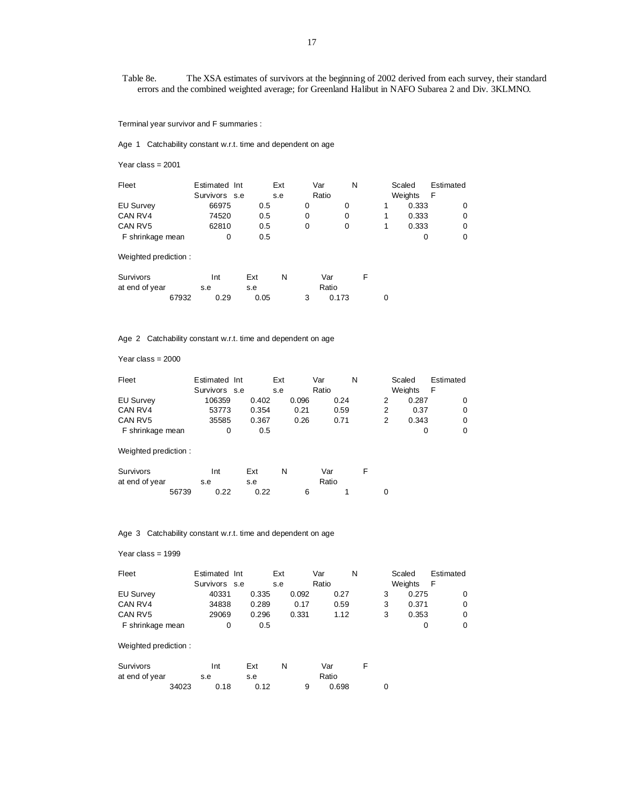Table 8e. The XSA estimates of survivors at the beginning of 2002 derived from each survey, their standard errors and the combined weighted average; for Greenland Halibut in NAFO Subarea 2 and Div. 3KLMNO.

Terminal year survivor and F summaries :

Age 1 Catchability constant w.r.t. time and dependent on age

Year class = 2001

| Fleet            | Estimated Int | Ext | Var   | N | Scaled  | Estimated |
|------------------|---------------|-----|-------|---|---------|-----------|
|                  | Survivors s.e | s.e | Ratio |   | Weights | F         |
| <b>EU Survey</b> | 66975         | 0.5 | O     |   | 0.333   |           |
| CAN RV4          | 74520         | 0.5 | 0     | 0 | 0.333   |           |
| CAN RV5          | 62810         | 0.5 | 0     | O | 0.333   |           |
| F shrinkage mean |               | 0.5 |       |   |         |           |

Weighted prediction :

| Survivors      |       | Int  | Ext  |  | Var   |  |
|----------------|-------|------|------|--|-------|--|
| at end of year |       | s.e  | s.e  |  | Ratio |  |
|                | 67932 | 0.29 | 0.05 |  | 0.173 |  |

Age 2 Catchability constant w.r.t. time and dependent on age

Year class = 2000

| Fleet            | Estimated Int |       | Ext |       | Var   |      | N | Scaled         | Estimated |
|------------------|---------------|-------|-----|-------|-------|------|---|----------------|-----------|
|                  | Survivors s.e |       | s.e |       | Ratio |      |   | <b>Weights</b> | F         |
| <b>EU Survey</b> | 106359        | 0.402 |     | 0.096 |       | 0.24 |   | 0.287          | 0         |
| CAN RV4          | 53773         | 0.354 |     | 0.21  |       | 0.59 |   | 0.37           | 0         |
| CAN RV5          | 35585         | 0.367 |     | 0.26  |       | 0.71 |   | 0.343          | 0         |
| F shrinkage mean |               | 0.5   |     |       |       |      |   |                | 0         |

Weighted prediction :

| Survivors      |       |     | Int  | Ext |      |  | Var   |  |  |
|----------------|-------|-----|------|-----|------|--|-------|--|--|
| at end of year |       | s.e |      | s.e |      |  | Ratio |  |  |
|                | 56739 |     | 0.22 |     | 0.22 |  |       |  |  |

#### Age 3 Catchability constant w.r.t. time and dependent on age

#### Year class = 1999

| Fleet            | Estimated Int |       | Ext   | Var   | N | Scaled         | Estimated |
|------------------|---------------|-------|-------|-------|---|----------------|-----------|
|                  | Survivors s.e |       | s.e   | Ratio |   | <b>Weights</b> | -F        |
| <b>EU Survey</b> | 40331         | 0.335 | 0.092 | 0.27  |   | 0.275          |           |
| CAN RV4          | 34838         | 0.289 | 0.17  | 0.59  |   | 0.371          |           |
| CAN RV5          | 29069         | 0.296 | 0.331 | 1.12  | 3 | 0.353          |           |
| F shrinkage mean |               | 0.5   |       |       |   |                |           |

#### Weighted prediction :

| Survivors      |       |     | Int  | Ext  | N     |   | Var   |  |
|----------------|-------|-----|------|------|-------|---|-------|--|
| at end of year |       | s.e |      | s.e  | Ratio |   |       |  |
|                | 34023 |     | 0.18 | 0.12 |       | a | 0.698 |  |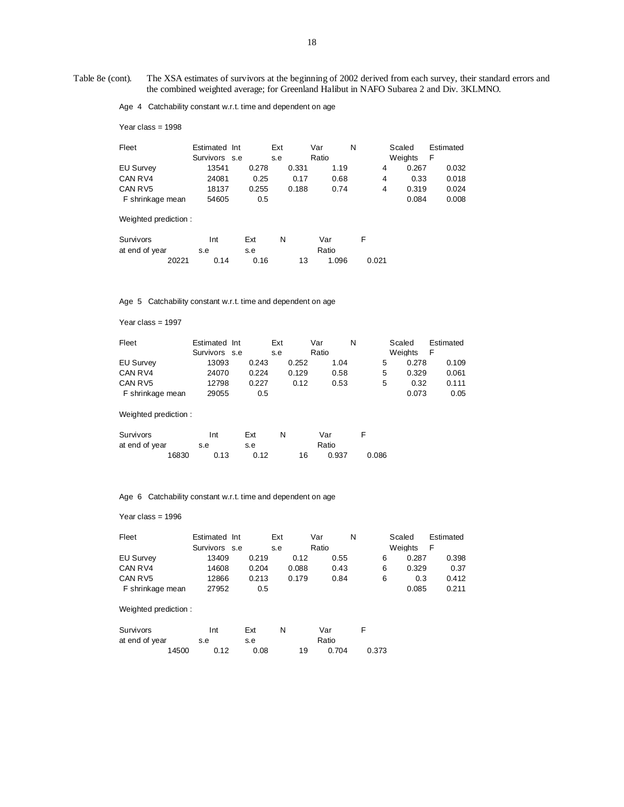Table 8e (cont). The XSA estimates of survivors at the beginning of 2002 derived from each survey, their standard errors and the combined weighted average; for Greenland Halibut in NAFO Subarea 2 and Div. 3KLMNO.

Age 4 Catchability constant w.r.t. time and dependent on age

Year class = 1998

| Fleet                | Estimated Int |       | Ext   | N<br>Var |       | Scaled  | Estimated |
|----------------------|---------------|-------|-------|----------|-------|---------|-----------|
|                      | Survivors s.e |       | s.e   | Ratio    |       | Weights | F         |
| <b>EU Survey</b>     | 13541         | 0.278 | 0.331 | 1.19     | 4     | 0.267   | 0.032     |
| CAN RV4              | 24081         | 0.25  | 0.17  | 0.68     | 4     | 0.33    | 0.018     |
| CAN RV5              | 18137         | 0.255 | 0.188 | 0.74     | 4     | 0.319   | 0.024     |
| F shrinkage mean     | 54605         | 0.5   |       |          |       | 0.084   | 0.008     |
| Weighted prediction: |               |       |       |          |       |         |           |
| Survivors            | Int           | Ext   | N     | Var      | F     |         |           |
| at end of year       | s.e           | s.e   |       | Ratio    |       |         |           |
| 20221                | 0.14          | 0.16  | 13    | 1.096    | 0.021 |         |           |

Age 5 Catchability constant w.r.t. time and dependent on age

Year class = 1997

| Fleet            | Estimated Int | Ext   | Var   | N    |   | Scaled  | Estimated |
|------------------|---------------|-------|-------|------|---|---------|-----------|
|                  | Survivors s.e | s.e   | Ratio |      |   | Weights | F         |
| <b>EU Survey</b> | 13093         | 0.243 | 0.252 | 1.04 | 5 | 0.278   | 0.109     |
| CAN RV4          | 24070         | 0.224 | 0.129 | 0.58 | 5 | 0.329   | 0.061     |
| CAN RV5          | 12798         | 0.227 | 0.12  | 0.53 | 5 | 0.32    | 0.111     |
| F shrinkage mean | 29055         | 0.5   |       |      |   | 0.073   | 0.05      |

Weighted prediction :

| Survivors      |       | Int  | Ext  | N |    | Var   |       |
|----------------|-------|------|------|---|----|-------|-------|
| at end of year |       | s.e  | s.e  |   |    | Ratio |       |
|                | 16830 | 0.13 | 0.12 |   | 16 | 0.937 | 0.086 |

Age 6 Catchability constant w.r.t. time and dependent on age

Year class = 1996

| Fleet            | Estimated Int | Ext   |       | Var   | N | Scaled  | Estimated |
|------------------|---------------|-------|-------|-------|---|---------|-----------|
|                  | Survivors s.e | s.e   |       | Ratio |   | Weights | F         |
| <b>EU Survey</b> | 13409         | 0.219 | 0.12  | 0.55  | 6 | 0.287   | 0.398     |
| CAN RV4          | 14608         | 0.204 | 0.088 | 0.43  | 6 | 0.329   | 0.37      |
| CAN RV5          | 12866         | 0.213 | 0.179 | 0.84  | 6 | 0.3     | 0.412     |
| F shrinkage mean | 27952         | 0.5   |       |       |   | 0.085   | 0.211     |

Weighted prediction :

| Survivors      |       | Int  | Ext  |    | Var   |       |  |
|----------------|-------|------|------|----|-------|-------|--|
| at end of year |       | s.e  | s.e  |    | Ratio |       |  |
|                | 14500 | 0.12 | 0.08 | 19 | 0.704 | 0.373 |  |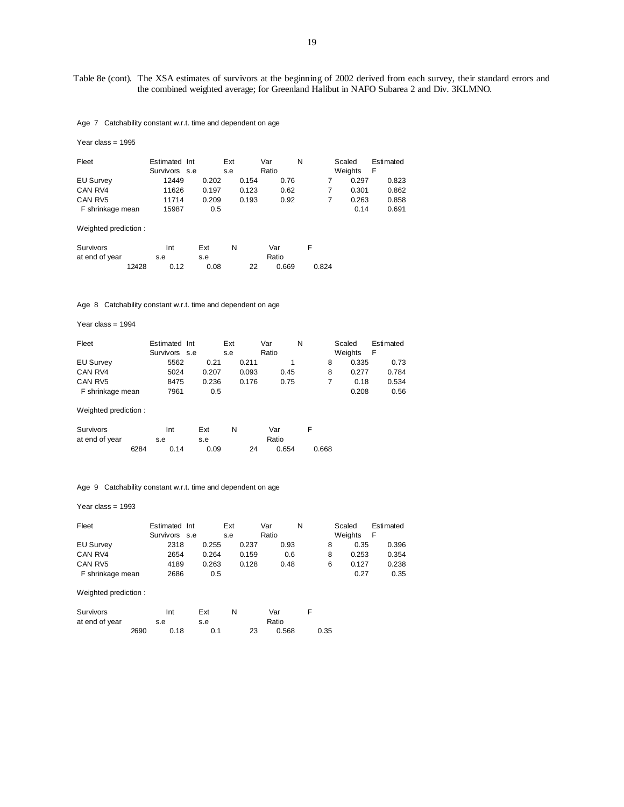## Table 8e (cont). The XSA estimates of survivors at the beginning of 2002 derived from each survey, their standard errors and the combined weighted average; for Greenland Halibut in NAFO Subarea 2 and Div. 3KLMNO.

Age 7 Catchability constant w.r.t. time and dependent on age

| Year class = $1995$         |                                |            |            |              |       |                   |                |
|-----------------------------|--------------------------------|------------|------------|--------------|-------|-------------------|----------------|
| Fleet                       | Estimated Int<br>Survivors s.e |            | Ext<br>s.e | Var<br>Ratio | N     | Scaled<br>Weights | Estimated<br>F |
| <b>EU Survey</b>            | 12449                          | 0.202      | 0.154      | 0.76         | 7     | 0.297             | 0.823          |
| CAN RV4                     | 11626                          | 0.197      | 0.123      | 0.62         | 7     | 0.301             | 0.862          |
| CAN RV5                     | 11714                          | 0.209      | 0.193      | 0.92         | 7     | 0.263             | 0.858          |
| F shrinkage mean            | 15987                          | 0.5        |            |              |       | 0.14              | 0.691          |
| Weighted prediction:        |                                |            |            |              |       |                   |                |
| Survivors<br>at end of year | Int<br>s.e                     | Ext<br>s.e | N          | Var<br>Ratio | F     |                   |                |
| 12428                       | 0.12                           | 0.08       | 22         | 0.669        | 0.824 |                   |                |

Age 8 Catchability constant w.r.t. time and dependent on age

Year class = 1994

| Fleet            | Estimated Int |       | Ext |       | Var   | N    | Scaled  | Estimated |
|------------------|---------------|-------|-----|-------|-------|------|---------|-----------|
|                  | Survivors s.e |       | s.e |       | Ratio |      | Weights |           |
| <b>EU Survey</b> | 5562          | 0.21  |     | 0.211 |       |      | 0.335   | 0.73      |
| CAN RV4          | 5024          | 0.207 |     | 0.093 |       | 0.45 | 0.277   | 0.784     |
| CAN RV5          | 8475          | 0.236 |     | 0.176 |       | 0.75 | 0.18    | 0.534     |
| F shrinkage mean | 7961          | 0.5   |     |       |       |      | 0.208   | 0.56      |

Weighted prediction :

| Survivors      |      | Int  | Ext  |    | Var   |       |
|----------------|------|------|------|----|-------|-------|
| at end of year |      | s.e  | s.e  |    | Ratio |       |
|                | 6284 | 0.14 | 0.09 | 24 | 0.654 | 0.668 |

Age 9 Catchability constant w.r.t. time and dependent on age

Year class = 1993

| Fleet                | Estimated Int<br>Survivors s.e |       | Ext<br>s.e | Var<br>Ratio | N    | Scaled<br>Weights | Estimated<br>F |
|----------------------|--------------------------------|-------|------------|--------------|------|-------------------|----------------|
| <b>EU Survey</b>     | 2318                           | 0.255 | 0.237      | 0.93         | 8    | 0.35              | 0.396          |
| CAN RV4              | 2654                           | 0.264 | 0.159      | 0.6          | 8    | 0.253             | 0.354          |
| CAN RV5              | 4189                           | 0.263 | 0.128      | 0.48         | 6    | 0.127             | 0.238          |
| F shrinkage mean     | 2686                           | 0.5   |            |              |      | 0.27              | 0.35           |
| Weighted prediction: |                                |       |            |              |      |                   |                |
| <b>Survivors</b>     | Int                            | Ext   | N          | Var          | F    |                   |                |
| at end of year       | s.e                            | s.e   |            | Ratio        |      |                   |                |
| 2690                 | 0.18                           | 0.1   | 23         | 0.568        | 0.35 |                   |                |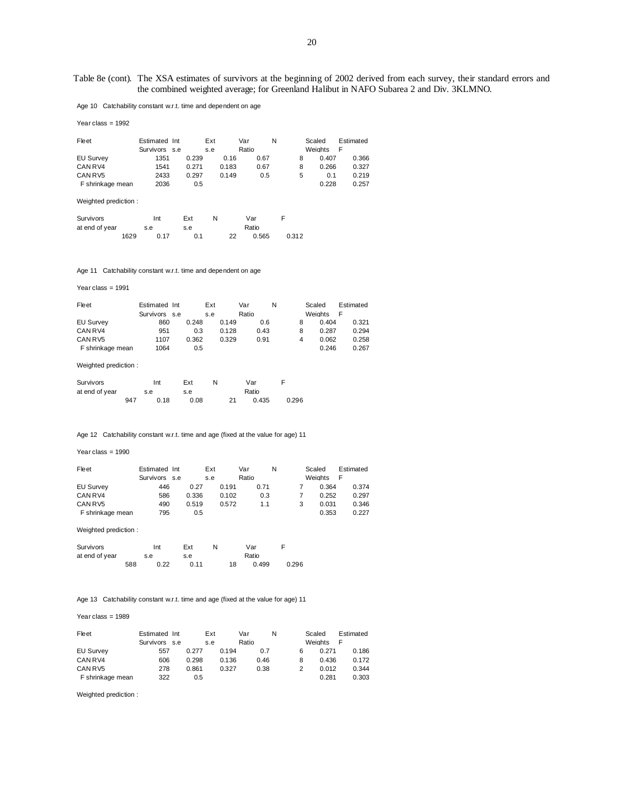Table 8e (cont). The XSA estimates of survivors at the beginning of 2002 derived from each survey, their standard errors and the combined weighted average; for Greenland Halibut in NAFO Subarea 2 and Div. 3KLMNO.

Age 10 Catchability constant w.r.t. time and dependent on age

| Year class = $1992$ |                                |       |            |       |              |      |   |   |                   |                |
|---------------------|--------------------------------|-------|------------|-------|--------------|------|---|---|-------------------|----------------|
| Fleet               | Estimated Int<br>Survivors s.e |       | Ext<br>s.e |       | Var<br>Ratio |      | N |   | Scaled<br>Weights | Estimated<br>F |
| <b>EU Survey</b>    | 1351                           | 0.239 |            | 0.16  |              | 0.67 |   | 8 | 0.407             | 0.366          |
| CAN RV4             | 1541                           | 0.271 |            | 0.183 |              | 0.67 |   | 8 | 0.266             | 0.327          |
| CAN RV5             | 2433                           | 0.297 |            | 0.149 |              | 0.5  |   | 5 | 0.1               | 0.219          |
| F shrinkage mean    | 2036                           | 0.5   |            |       |              |      |   |   | 0.228             | 0.257          |
|                     |                                |       |            |       |              |      |   |   |                   |                |

Weighted prediction :

| Survivors      |      | Int  | Ext | N |    | Var   |       |  |
|----------------|------|------|-----|---|----|-------|-------|--|
| at end of year |      | s.e  | s.e |   |    | Ratio |       |  |
|                | 1629 | 0.17 | 0.1 |   | 22 | 0.565 | 0.312 |  |

Age 11 Catchability constant w.r.t. time and dependent on age

Year class = 1991

| Fleet            | Estimated Int |       | Ext   | Var   | N | Scaled         | Estimated |
|------------------|---------------|-------|-------|-------|---|----------------|-----------|
|                  | Survivors s.e |       | s.e   | Ratio |   | <b>Weights</b> | F         |
| EU Survey        | 860           | 0.248 | 0.149 | 0.6   |   | 0.404          | 0.321     |
| CAN RV4          | 951           | 0.3   | 0.128 | 0.43  |   | 0.287          | 0.294     |
| CAN RV5          | 1107          | 0.362 | 0.329 | 0.91  | 4 | 0.062          | 0.258     |
| F shrinkage mean | 1064          | 0.5   |       |       |   | 0.246          | 0.267     |

Weighted prediction :

| Survivors      |     | Int  | Ext  |    | Var   |       |
|----------------|-----|------|------|----|-------|-------|
| at end of year |     | s.e  | s.e  |    | Ratio |       |
|                | 947 | 0.18 | 0.08 | 21 | 0.435 | 0.296 |

Age 12 Catchability constant w.r.t. time and age (fixed at the value for age) 11

#### Year class = 1990

| Fleet            | Estimated Int | Ext   | Var   | N    | Scaled         | Estimated |
|------------------|---------------|-------|-------|------|----------------|-----------|
|                  | Survivors s.e | s.e   | Ratio |      | <b>Weights</b> | E         |
| <b>EU Survey</b> | 446           | 0.27  | 0.191 | 0.71 | 0.364          | 0.374     |
| CAN RV4          | 586           | 0.336 | 0.102 | 0.3  | 0.252          | 0.297     |
| CAN RV5          | 490           | 0.519 | 0.572 | 1.1  | 0.031          | 0.346     |
| F shrinkage mean | 795           | 0.5   |       |      | 0.353          | 0.227     |

Weighted prediction :

| Survivors      |     | Int  | Ext  | N. |    | Var   |       |
|----------------|-----|------|------|----|----|-------|-------|
| at end of year |     | s.e  | s.e  |    |    | Ratio |       |
|                | 588 | 0.22 | 0.11 |    | 18 | 0.499 | 0.296 |

Age 13 Catchability constant w.r.t. time and age (fixed at the value for age) 11

Year class = 1989

| Fleet            | Estimated Int | Ext   | Var   | N    | Scaled |                | Estimated |
|------------------|---------------|-------|-------|------|--------|----------------|-----------|
|                  | Survivors s.e | s.e   | Ratio |      |        | <b>Weights</b> | F         |
| <b>EU Survey</b> | 557           | 0.277 | 0.194 | 0.7  | 6      | 0.271          | 0.186     |
| CAN RV4          | 606           | 0.298 | 0.136 | 0.46 | 8      | 0.436          | 0.172     |
| CAN RV5          | 278           | 0.861 | 0.327 | 0.38 |        | 0.012          | 0.344     |
| F shrinkage mean | 322           | 0.5   |       |      |        | 0.281          | 0.303     |

Weighted prediction :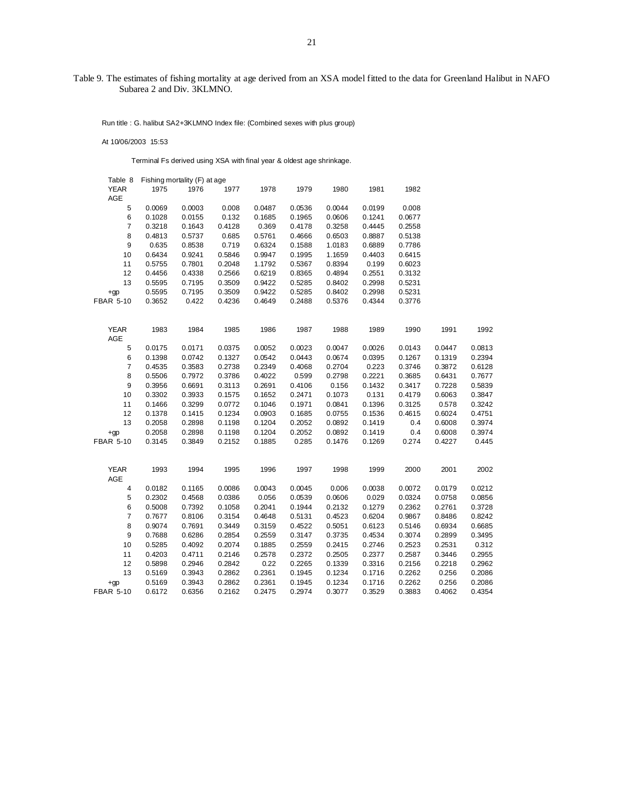# Table 9. The estimates of fishing mortality at age derived from an XSA model fitted to the data for Greenland Halibut in NAFO Subarea 2 and Div. 3KLMNO.

Run title : G. halibut SA2+3KLMNO Index file: (Combined sexes with plus group)

At 10/06/2003 15:53

Terminal Fs derived using XSA with final year & oldest age shrinkage.

| Table 8          |        | Fishing mortality (F) at age |        |        |        |        |        |        |        |        |
|------------------|--------|------------------------------|--------|--------|--------|--------|--------|--------|--------|--------|
| <b>YEAR</b>      | 1975   | 1976                         | 1977   | 1978   | 1979   | 1980   | 1981   | 1982   |        |        |
| <b>AGE</b>       |        |                              |        |        |        |        |        |        |        |        |
|                  |        |                              |        |        |        |        |        |        |        |        |
| 5                | 0.0069 | 0.0003                       | 0.008  | 0.0487 | 0.0536 | 0.0044 | 0.0199 | 0.008  |        |        |
| 6                | 0.1028 | 0.0155                       | 0.132  | 0.1685 | 0.1965 | 0.0606 | 0.1241 | 0.0677 |        |        |
| $\overline{7}$   | 0.3218 | 0.1643                       | 0.4128 | 0.369  | 0.4178 | 0.3258 | 0.4445 | 0.2558 |        |        |
| 8                | 0.4813 | 0.5737                       | 0.685  | 0.5761 | 0.4666 | 0.6503 | 0.8887 | 0.5138 |        |        |
| $\boldsymbol{9}$ | 0.635  | 0.8538                       | 0.719  | 0.6324 | 0.1588 | 1.0183 | 0.6889 | 0.7786 |        |        |
| 10               | 0.6434 | 0.9241                       | 0.5846 | 0.9947 | 0.1995 | 1.1659 | 0.4403 | 0.6415 |        |        |
| 11               | 0.5755 | 0.7801                       | 0.2048 | 1.1792 | 0.5367 | 0.8394 | 0.199  | 0.6023 |        |        |
| 12               | 0.4456 | 0.4338                       | 0.2566 | 0.6219 | 0.8365 | 0.4894 | 0.2551 | 0.3132 |        |        |
| 13               | 0.5595 | 0.7195                       | 0.3509 | 0.9422 | 0.5285 | 0.8402 | 0.2998 | 0.5231 |        |        |
| $+qp$            | 0.5595 | 0.7195                       | 0.3509 | 0.9422 | 0.5285 | 0.8402 | 0.2998 | 0.5231 |        |        |
| <b>FBAR 5-10</b> | 0.3652 | 0.422                        | 0.4236 | 0.4649 | 0.2488 | 0.5376 | 0.4344 | 0.3776 |        |        |
|                  |        |                              |        |        |        |        |        |        |        |        |
| <b>YEAR</b>      | 1983   | 1984                         | 1985   | 1986   | 1987   | 1988   | 1989   | 1990   | 1991   | 1992   |
| AGE              |        |                              |        |        |        |        |        |        |        |        |
| 5                | 0.0175 | 0.0171                       | 0.0375 | 0.0052 | 0.0023 | 0.0047 | 0.0026 | 0.0143 | 0.0447 | 0.0813 |
| 6                | 0.1398 | 0.0742                       | 0.1327 | 0.0542 | 0.0443 | 0.0674 | 0.0395 | 0.1267 | 0.1319 | 0.2394 |
| 7                | 0.4535 | 0.3583                       | 0.2738 | 0.2349 | 0.4068 | 0.2704 | 0.223  | 0.3746 | 0.3872 | 0.6128 |
| 8                | 0.5506 | 0.7972                       | 0.3786 | 0.4022 | 0.599  | 0.2798 | 0.2221 | 0.3685 | 0.6431 | 0.7677 |
| 9                | 0.3956 | 0.6691                       | 0.3113 | 0.2691 | 0.4106 | 0.156  | 0.1432 | 0.3417 | 0.7228 | 0.5839 |
| 10               | 0.3302 | 0.3933                       | 0.1575 | 0.1652 | 0.2471 | 0.1073 | 0.131  | 0.4179 | 0.6063 | 0.3847 |
|                  |        |                              |        |        |        |        |        |        |        |        |
| 11               | 0.1466 | 0.3299                       | 0.0772 | 0.1046 | 0.1971 | 0.0841 | 0.1396 | 0.3125 | 0.578  | 0.3242 |
| 12               | 0.1378 | 0.1415                       | 0.1234 | 0.0903 | 0.1685 | 0.0755 | 0.1536 | 0.4615 | 0.6024 | 0.4751 |
| 13               | 0.2058 | 0.2898                       | 0.1198 | 0.1204 | 0.2052 | 0.0892 | 0.1419 | 0.4    | 0.6008 | 0.3974 |
| $+qp$            | 0.2058 | 0.2898                       | 0.1198 | 0.1204 | 0.2052 | 0.0892 | 0.1419 | 0.4    | 0.6008 | 0.3974 |
| <b>FBAR 5-10</b> | 0.3145 | 0.3849                       | 0.2152 | 0.1885 | 0.285  | 0.1476 | 0.1269 | 0.274  | 0.4227 | 0.445  |
|                  |        |                              |        |        |        |        |        |        |        |        |
| <b>YEAR</b>      | 1993   | 1994                         | 1995   | 1996   | 1997   | 1998   | 1999   | 2000   | 2001   | 2002   |
| AGE              |        |                              |        |        |        |        |        |        |        |        |
| $\pmb{4}$        | 0.0182 | 0.1165                       | 0.0086 | 0.0043 | 0.0045 | 0.006  | 0.0038 | 0.0072 | 0.0179 | 0.0212 |
| 5                | 0.2302 | 0.4568                       | 0.0386 | 0.056  | 0.0539 | 0.0606 | 0.029  | 0.0324 | 0.0758 | 0.0856 |
| 6                | 0.5008 | 0.7392                       | 0.1058 | 0.2041 | 0.1944 | 0.2132 | 0.1279 | 0.2362 | 0.2761 | 0.3728 |
| $\overline{7}$   | 0.7677 | 0.8106                       | 0.3154 | 0.4648 | 0.5131 | 0.4523 | 0.6204 | 0.9867 | 0.8486 | 0.8242 |
| 8                | 0.9074 | 0.7691                       | 0.3449 | 0.3159 | 0.4522 | 0.5051 | 0.6123 | 0.5146 | 0.6934 | 0.6685 |
| 9                | 0.7688 | 0.6286                       | 0.2854 | 0.2559 | 0.3147 | 0.3735 | 0.4534 | 0.3074 | 0.2899 | 0.3495 |
| 10               | 0.5285 | 0.4092                       | 0.2074 | 0.1885 | 0.2559 | 0.2415 | 0.2746 | 0.2523 | 0.2531 | 0.312  |
| 11               | 0.4203 | 0.4711                       | 0.2146 | 0.2578 | 0.2372 | 0.2505 | 0.2377 | 0.2587 | 0.3446 | 0.2955 |
| 12               | 0.5898 | 0.2946                       | 0.2842 | 0.22   | 0.2265 | 0.1339 | 0.3316 | 0.2156 | 0.2218 | 0.2962 |
| 13               | 0.5169 | 0.3943                       | 0.2862 | 0.2361 | 0.1945 | 0.1234 | 0.1716 | 0.2262 | 0.256  | 0.2086 |
| $+qp$            | 0.5169 | 0.3943                       | 0.2862 | 0.2361 | 0.1945 | 0.1234 | 0.1716 | 0.2262 | 0.256  | 0.2086 |
| <b>FBAR 5-10</b> | 0.6172 | 0.6356                       | 0.2162 | 0.2475 | 0.2974 | 0.3077 | 0.3529 | 0.3883 | 0.4062 | 0.4354 |
|                  |        |                              |        |        |        |        |        |        |        |        |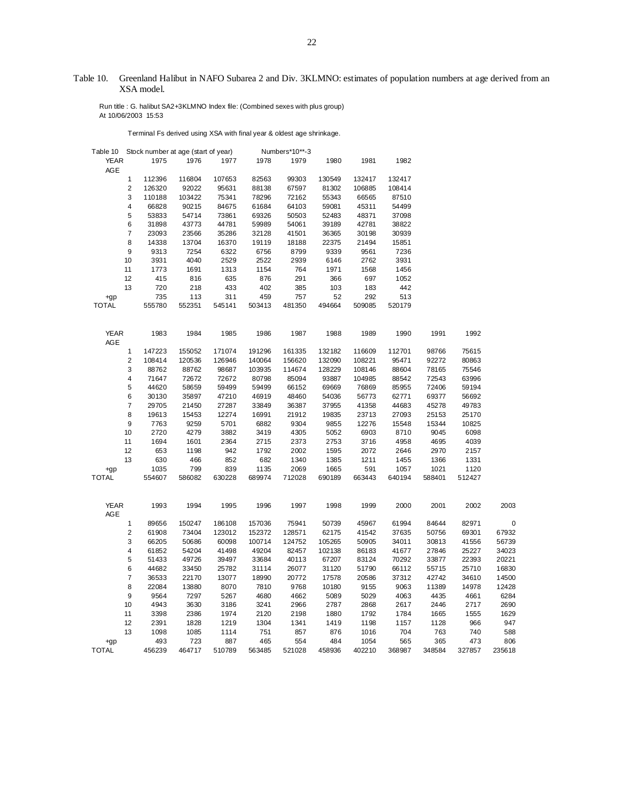# Table 10. Greenland Halibut in NAFO Subarea 2 and Div. 3KLMNO: estimates of population numbers at age derived from an XSA model.

 Run title : G. halibut SA2+3KLMNO Index file: (Combined sexes with plus group) At 10/06/2003 15:53

Terminal Fs derived using XSA with final year & oldest age shrinkage.

| Table 10 Stock number at age (start of year) |                         |                |               |               |                | Numbers*10**-3 |                |               |                |                |                |             |
|----------------------------------------------|-------------------------|----------------|---------------|---------------|----------------|----------------|----------------|---------------|----------------|----------------|----------------|-------------|
| <b>YEAR</b><br>AGE                           |                         | 1975           | 1976          | 1977          | 1978           | 1979           | 1980           | 1981          | 1982           |                |                |             |
|                                              | $\mathbf{1}$            | 112396         | 116804        | 107653        | 82563          | 99303          | 130549         | 132417        | 132417         |                |                |             |
|                                              | $\overline{\mathbf{c}}$ | 126320         | 92022         | 95631         | 88138          | 67597          | 81302          | 106885        | 108414         |                |                |             |
|                                              | 3                       | 110188         | 103422        | 75341         | 78296          | 72162          | 55343          | 66565         | 87510          |                |                |             |
|                                              | 4                       | 66828          | 90215         | 84675         | 61684          | 64103          | 59081          | 45311         | 54499          |                |                |             |
|                                              | 5                       | 53833          | 54714         | 73861         | 69326          | 50503          | 52483          | 48371         | 37098          |                |                |             |
|                                              | 6                       | 31898          | 43773         | 44781         | 59989          | 54061          | 39189          | 42781         | 38822          |                |                |             |
|                                              | $\overline{\mathbf{7}}$ | 23093          | 23566         | 35286         | 32128          | 41501          | 36365          | 30198         | 30939          |                |                |             |
|                                              | 8                       | 14338          | 13704         | 16370         | 19119          | 18188          | 22375          | 21494         | 15851          |                |                |             |
|                                              | 9                       | 9313           | 7254          | 6322          | 6756           | 8799           | 9339           | 9561          | 7236           |                |                |             |
|                                              | 10                      | 3931           | 4040          | 2529          | 2522           | 2939           | 6146           | 2762          | 3931           |                |                |             |
|                                              | 11                      | 1773           | 1691          | 1313          | 1154           | 764            | 1971           | 1568          | 1456           |                |                |             |
|                                              | 12                      | 415            | 816           | 635           | 876            | 291            | 366            | 697           | 1052           |                |                |             |
|                                              | 13                      | 720            | 218           | 433           | 402            | 385            | 103            | 183           | 442            |                |                |             |
|                                              |                         | 735            | 113           | 311           | 459            | 757            | 52             | 292           | 513            |                |                |             |
| $+qp$<br><b>TOTAL</b>                        |                         | 555780         | 552351        | 545141        | 503413         | 481350         | 494664         | 509085        | 520179         |                |                |             |
|                                              |                         |                |               |               |                |                |                |               |                |                |                |             |
| <b>YEAR</b>                                  |                         | 1983           | 1984          | 1985          | 1986           | 1987           | 1988           | 1989          | 1990           | 1991           | 1992           |             |
| AGE                                          |                         |                |               |               |                |                |                |               |                |                |                |             |
|                                              | 1                       | 147223         | 155052        | 171074        | 191296         | 161335         | 132182         | 116609        | 112701         | 98766          | 75615          |             |
|                                              | $\overline{\mathbf{c}}$ | 108414         | 120536        | 126946        | 140064         | 156620         | 132090         | 108221        | 95471          | 92272          | 80863          |             |
|                                              | 3                       | 88762          | 88762         | 98687         | 103935         | 114674         | 128229         | 108146        | 88604          | 78165          | 75546          |             |
|                                              | 4                       | 71647          | 72672         | 72672         | 80798          | 85094          | 93887          | 104985        | 88542          | 72543          | 63996          |             |
|                                              | 5                       | 44620          | 58659         | 59499         | 59499          | 66152          | 69669          | 76869         | 85955          | 72406          | 59194          |             |
|                                              | 6                       | 30130          | 35897         | 47210         | 46919          | 48460          | 54036          | 56773         | 62771          | 69377          | 56692          |             |
|                                              | 7                       | 29705          | 21450         | 27287         | 33849          | 36387          | 37955          | 41358         | 44683          | 45278          | 49783          |             |
|                                              | 8                       | 19613          | 15453         | 12274         | 16991          | 21912          | 19835          | 23713         | 27093          | 25153          | 25170          |             |
|                                              | 9                       | 7763           | 9259          | 5701          | 6882           | 9304           | 9855           | 12276         | 15548          | 15344          | 10825          |             |
|                                              | 10                      | 2720           | 4279          | 3882          | 3419           | 4305           | 5052           | 6903          | 8710           | 9045           | 6098           |             |
|                                              | 11                      | 1694           | 1601          | 2364          | 2715           | 2373           | 2753           | 3716          | 4958           | 4695           | 4039           |             |
|                                              | 12                      | 653            | 1198          | 942           | 1792           | 2002           | 1595           | 2072          | 2646           | 2970           | 2157           |             |
|                                              | 13                      | 630            | 466           | 852           | 682            | 1340           | 1385           | 1211          | 1455           | 1366           | 1331           |             |
|                                              |                         |                |               |               |                |                |                |               |                |                |                |             |
| $+qp$<br><b>TOTAL</b>                        |                         | 1035<br>554607 | 799<br>586082 | 839<br>630228 | 1135<br>689974 | 2069<br>712028 | 1665<br>690189 | 591<br>663443 | 1057<br>640194 | 1021<br>588401 | 1120<br>512427 |             |
|                                              |                         |                |               |               |                |                |                |               |                |                |                |             |
| <b>YEAR</b><br>AGE                           |                         | 1993           | 1994          | 1995          | 1996           | 1997           | 1998           | 1999          | 2000           | 2001           | 2002           | 2003        |
|                                              | $\mathbf{1}$            | 89656          | 150247        | 186108        | 157036         | 75941          | 50739          | 45967         | 61994          | 84644          | 82971          | $\mathbf 0$ |
|                                              | 2                       | 61908          | 73404         | 123012        | 152372         | 128571         | 62175          | 41542         | 37635          | 50756          | 69301          | 67932       |
|                                              | 3                       | 66205          | 50686         | 60098         | 100714         | 124752         | 105265         | 50905         | 34011          | 30813          | 41556          | 56739       |
|                                              | 4                       | 61852          | 54204         | 41498         | 49204          | 82457          | 102138         | 86183         | 41677          | 27846          | 25227          | 34023       |
|                                              | 5                       | 51433          | 49726         | 39497         | 33684          | 40113          | 67207          | 83124         | 70292          | 33877          | 22393          | 20221       |
|                                              | 6                       | 44682          | 33450         | 25782         | 31114          | 26077          | 31120          | 51790         | 66112          | 55715          | 25710          | 16830       |
|                                              | $\overline{7}$          | 36533          | 22170         | 13077         | 18990          | 20772          | 17578          | 20586         | 37312          | 42742          | 34610          | 14500       |
|                                              | 8                       | 22084          | 13880         | 8070          | 7810           | 9768           | 10180          | 9155          | 9063           | 11389          | 14978          | 12428       |
|                                              | 9                       | 9564           | 7297          | 5267          | 4680           | 4662           | 5089           | 5029          | 4063           | 4435           | 4661           | 6284        |
|                                              | 10                      | 4943           | 3630          | 3186          | 3241           | 2966           | 2787           | 2868          | 2617           | 2446           | 2717           | 2690        |
|                                              | 11                      | 3398           | 2386          | 1974          | 2120           | 2198           | 1880           | 1792          | 1784           | 1665           | 1555           | 1629        |
|                                              | 12                      | 2391           | 1828          | 1219          | 1304           | 1341           | 1419           | 1198          | 1157           | 1128           | 966            | 947         |
|                                              | 13                      | 1098           | 1085          | 1114          | 751            | 857            | 876            | 1016          | 704            | 763            | 740            | 588         |
| $+qp$                                        |                         | 493            | 723           | 887           | 465            | 554            | 484            | 1054          | 565            | 365            | 473            | 806         |
| <b>TOTAL</b>                                 |                         | 456239         | 464717        | 510789        | 563485         | 521028         | 458936         | 402210        | 368987         | 348584         | 327857         | 235618      |
|                                              |                         |                |               |               |                |                |                |               |                |                |                |             |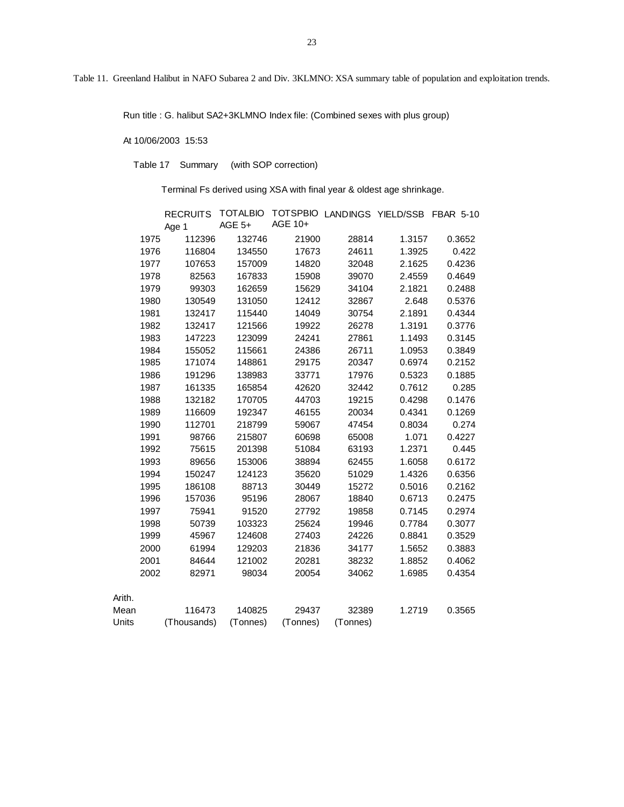Table 11. Greenland Halibut in NAFO Subarea 2 and Div. 3KLMNO: XSA summary table of population and exploitation trends.

Run title : G. halibut SA2+3KLMNO Index file: (Combined sexes with plus group)

# At 10/06/2003 15:53

Table 17 Summary (with SOP correction)

Terminal Fs derived using XSA with final year & oldest age shrinkage.

|        |      | <b>RECRUITS</b> |          |          |          | TOTALBIO TOTSPBIO LANDINGS YIELD/SSB FBAR 5-10 |        |
|--------|------|-----------------|----------|----------|----------|------------------------------------------------|--------|
|        |      | Age 1           | AGE 5+   | AGE 10+  |          |                                                |        |
|        | 1975 | 112396          | 132746   | 21900    | 28814    | 1.3157                                         | 0.3652 |
|        | 1976 | 116804          | 134550   | 17673    | 24611    | 1.3925                                         | 0.422  |
|        | 1977 | 107653          | 157009   | 14820    | 32048    | 2.1625                                         | 0.4236 |
|        | 1978 | 82563           | 167833   | 15908    | 39070    | 2.4559                                         | 0.4649 |
|        | 1979 | 99303           | 162659   | 15629    | 34104    | 2.1821                                         | 0.2488 |
|        | 1980 | 130549          | 131050   | 12412    | 32867    | 2.648                                          | 0.5376 |
|        | 1981 | 132417          | 115440   | 14049    | 30754    | 2.1891                                         | 0.4344 |
|        | 1982 | 132417          | 121566   | 19922    | 26278    | 1.3191                                         | 0.3776 |
|        | 1983 | 147223          | 123099   | 24241    | 27861    | 1.1493                                         | 0.3145 |
|        | 1984 | 155052          | 115661   | 24386    | 26711    | 1.0953                                         | 0.3849 |
|        | 1985 | 171074          | 148861   | 29175    | 20347    | 0.6974                                         | 0.2152 |
|        | 1986 | 191296          | 138983   | 33771    | 17976    | 0.5323                                         | 0.1885 |
|        | 1987 | 161335          | 165854   | 42620    | 32442    | 0.7612                                         | 0.285  |
|        | 1988 | 132182          | 170705   | 44703    | 19215    | 0.4298                                         | 0.1476 |
|        | 1989 | 116609          | 192347   | 46155    | 20034    | 0.4341                                         | 0.1269 |
|        | 1990 | 112701          | 218799   | 59067    | 47454    | 0.8034                                         | 0.274  |
|        | 1991 | 98766           | 215807   | 60698    | 65008    | 1.071                                          | 0.4227 |
|        | 1992 | 75615           | 201398   | 51084    | 63193    | 1.2371                                         | 0.445  |
|        | 1993 | 89656           | 153006   | 38894    | 62455    | 1.6058                                         | 0.6172 |
|        | 1994 | 150247          | 124123   | 35620    | 51029    | 1.4326                                         | 0.6356 |
|        | 1995 | 186108          | 88713    | 30449    | 15272    | 0.5016                                         | 0.2162 |
|        | 1996 | 157036          | 95196    | 28067    | 18840    | 0.6713                                         | 0.2475 |
|        | 1997 | 75941           | 91520    | 27792    | 19858    | 0.7145                                         | 0.2974 |
|        | 1998 | 50739           | 103323   | 25624    | 19946    | 0.7784                                         | 0.3077 |
|        | 1999 | 45967           | 124608   | 27403    | 24226    | 0.8841                                         | 0.3529 |
|        | 2000 | 61994           | 129203   | 21836    | 34177    | 1.5652                                         | 0.3883 |
|        | 2001 | 84644           | 121002   | 20281    | 38232    | 1.8852                                         | 0.4062 |
|        | 2002 | 82971           | 98034    | 20054    | 34062    | 1.6985                                         | 0.4354 |
|        |      |                 |          |          |          |                                                |        |
| Arith. |      |                 |          |          |          |                                                |        |
| Mean   |      | 116473          | 140825   | 29437    | 32389    | 1.2719                                         | 0.3565 |
| Units  |      | (Thousands)     | (Tonnes) | (Tonnes) | (Tonnes) |                                                |        |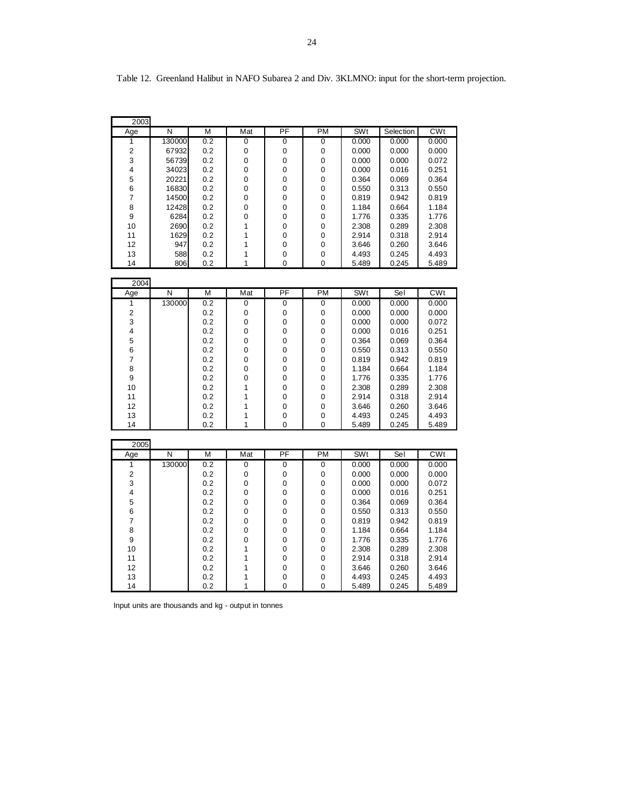| 2003           |            |            |        |                 |               |                |                |                |
|----------------|------------|------------|--------|-----------------|---------------|----------------|----------------|----------------|
| Age            | N          | M          | Mat    | PF              | <b>PM</b>     | SWt            | Selection      | CWt            |
| 1              | 130000     | 0.2        | 0      | 0               | 0             | 0.000          | 0.000          | 0.000          |
| 2              | 67932      | 0.2        | 0      | 0               | 0             | 0.000          | 0.000          | 0.000          |
| 3              | 56739      | 0.2        | 0      | 0               | 0             | 0.000          | 0.000          | 0.072          |
| 4              | 34023      | 0.2        | 0      | 0               | 0             | 0.000          | 0.016          | 0.251          |
| 5              | 20221      | 0.2        | 0      | 0               | 0             | 0.364          | 0.069          | 0.364          |
| 6              | 16830      | 0.2        | 0      | 0               | 0             | 0.550          | 0.313          | 0.550          |
| 7              | 14500      | 0.2        | 0      | 0               | 0             | 0.819          | 0.942          | 0.819          |
| 8              | 12428      | 0.2        | 0      | 0               | 0             | 1.184          | 0.664          | 1.184          |
| 9              | 6284       | 0.2        | 0      | 0               | 0             | 1.776          | 0.335          | 1.776          |
| 10             | 2690       | 0.2        | 1      | 0               | 0             | 2.308          | 0.289          | 2.308          |
| 11             | 1629       | 0.2        | 1      | 0               | 0             | 2.914          | 0.318          | 2.914          |
| 12             | 947        | 0.2        | 1      | 0               | 0             | 3.646          | 0.260          | 3.646          |
| 13<br>14       | 588<br>806 | 0.2<br>0.2 | 1<br>1 | 0<br>0          | 0<br>0        | 4.493          | 0.245<br>0.245 | 4.493          |
|                |            |            |        |                 |               | 5.489          |                | 5.489          |
| 2004           |            |            |        |                 |               |                |                |                |
| Age            | N          | М          | Mat    | PF              | <b>PM</b>     | SWt            | Sel            | <b>CWt</b>     |
| 1              | 130000     | 0.2        | 0      | 0               | 0             | 0.000          | 0.000          | 0.000          |
| $\overline{2}$ |            | 0.2        | 0      | 0               | 0             | 0.000          | 0.000          | 0.000          |
| 3              |            | 0.2        | 0      | 0               | 0             | 0.000          | 0.000          | 0.072          |
| 4              |            | 0.2        | 0      | 0               | 0             | 0.000          | 0.016          | 0.251          |
| 5              |            | 0.2        | 0      | 0               | 0             | 0.364          | 0.069          | 0.364          |
| 6              |            | 0.2        | 0      | 0               | 0             | 0.550          | 0.313          | 0.550          |
| 7              |            | 0.2        | 0      | 0               | 0             | 0.819          | 0.942          | 0.819          |
| 8              |            | 0.2        | 0      | 0               | 0             | 1.184          | 0.664          | 1.184          |
| 9              |            | 0.2        | 0      | 0               | 0             | 1.776          | 0.335          | 1.776          |
| 10             |            | 0.2        | 1      | 0               | 0             | 2.308          | 0.289          | 2.308          |
| 11             |            | 0.2        | 1      | 0               | 0             | 2.914          | 0.318          | 2.914          |
| 12             |            | 0.2        | 1      | 0               | 0             | 3.646          | 0.260          | 3.646          |
| 13<br>14       |            | 0.2<br>0.2 | 1<br>1 | 0<br>$\Omega$   | 0<br>$\Omega$ | 4.493<br>5.489 | 0.245<br>0.245 | 4.493<br>5.489 |
|                |            |            |        |                 |               |                |                |                |
| 2005           |            |            |        |                 |               |                |                |                |
| Age            | N          | M          | Mat    | $\overline{PF}$ | <b>PM</b>     | <b>SWt</b>     | Sel            | CWt            |
| 1              | 130000     | 0.2        | 0      | 0               | 0             | 0.000          | 0.000          | 0.000          |
| $\overline{2}$ |            | 0.2        | 0      | 0               | 0             | 0.000          | 0.000          | 0.000          |
| 3              |            | 0.2        | 0      | 0               | 0             | 0.000          | 0.000          | 0.072          |
| 4              |            | 0.2        | 0      | 0               | 0             | 0.000          | 0.016          | 0.251          |
| 5              |            | 0.2        | 0      | 0               | 0             | 0.364          | 0.069          | 0.364          |
| 6              |            | 0.2        | 0      | 0               | 0             | 0.550          | 0.313          | 0.550          |
| $\overline{7}$ |            | 0.2        | 0      | 0               | 0             | 0.819          | 0.942          | 0.819          |
| 8              |            | 0.2        | 0      | 0               | 0             | 1.184          | 0.664          | 1.184          |
| 9              |            | 0.2        | 0      | 0               | 0             | 1.776          | 0.335          | 1.776          |
| 10             |            | 0.2        | 1      | 0               | 0             | 2.308          | 0.289          | 2.308          |
| 11             |            | 0.2        | 1      | 0               | 0             | 2.914          | 0.318          | 2.914          |
| 12             |            | 0.2        | 1      | 0               | 0             | 3.646          | 0.260          | 3.646          |
| 13             |            | 0.2        | 1      | 0               | $\mathbf 0$   | 4.493          | 0.245          | 4.493          |
| 14             |            | 0.2        | 1      | $\Omega$        | 0             | 5.489          | 0.245          | 5.489          |

Table 12. Greenland Halibut in NAFO Subarea 2 and Div. 3KLMNO: input for the short-term projection.

Input units are thousands and kg - output in tonnes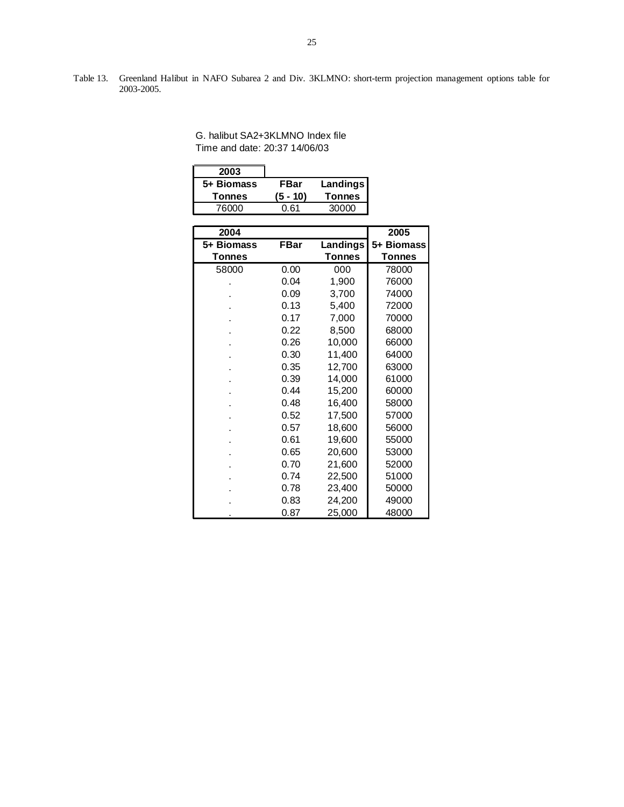Table 13. Greenland Halibut in NAFO Subarea 2 and Div. 3KLMNO: short-term projection management options table for 2003-2005.

| G. halibut SA2+3KLMNO Index file |
|----------------------------------|
| Time and date: 20:37 14/06/03    |

| 2003       |          |               |
|------------|----------|---------------|
| 5+ Biomass | FBar     | Landings      |
|            |          |               |
| Tonnes     | (5 - 10) | <b>Tonnes</b> |

| 2004          |             |               | 2005          |
|---------------|-------------|---------------|---------------|
| 5+ Biomass    | <b>FBar</b> | Landings      | 5+ Biomass    |
| <b>Tonnes</b> |             | <b>Tonnes</b> | <b>Tonnes</b> |
| 58000         | 0.00        | 000           | 78000         |
|               | 0.04        | 1,900         | 76000         |
|               | 0.09        | 3,700         | 74000         |
|               | 0.13        | 5,400         | 72000         |
|               | 0.17        | 7,000         | 70000         |
|               | 0.22        | 8,500         | 68000         |
|               | 0.26        | 10,000        | 66000         |
|               | 0.30        | 11,400        | 64000         |
|               | 0.35        | 12,700        | 63000         |
|               | 0.39        | 14,000        | 61000         |
|               | 0.44        | 15,200        | 60000         |
|               | 0.48        | 16,400        | 58000         |
|               | 0.52        | 17,500        | 57000         |
|               | 0.57        | 18,600        | 56000         |
|               | 0.61        | 19,600        | 55000         |
|               | 0.65        | 20,600        | 53000         |
|               | 0.70        | 21,600        | 52000         |
|               | 0.74        | 22,500        | 51000         |
|               | 0.78        | 23,400        | 50000         |
|               | 0.83        | 24,200        | 49000         |
|               | 0.87        | 25,000        | 48000         |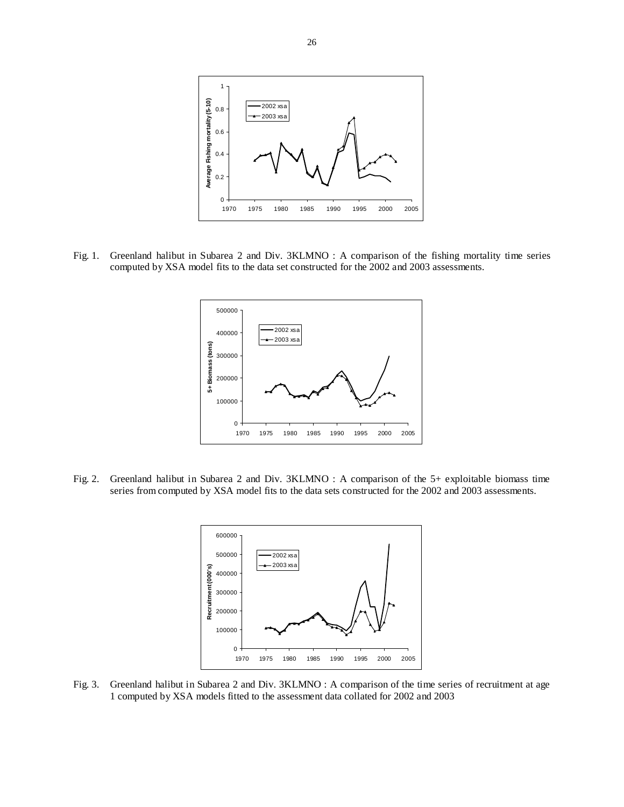

Fig. 1. Greenland halibut in Subarea 2 and Div. 3KLMNO : A comparison of the fishing mortality time series computed by XSA model fits to the data set constructed for the 2002 and 2003 assessments.



Fig. 2. Greenland halibut in Subarea 2 and Div. 3KLMNO : A comparison of the 5+ exploitable biomass time series from computed by XSA model fits to the data sets constructed for the 2002 and 2003 assessments.



Fig. 3. Greenland halibut in Subarea 2 and Div. 3KLMNO : A comparison of the time series of recruitment at age 1 computed by XSA models fitted to the assessment data collated for 2002 and 2003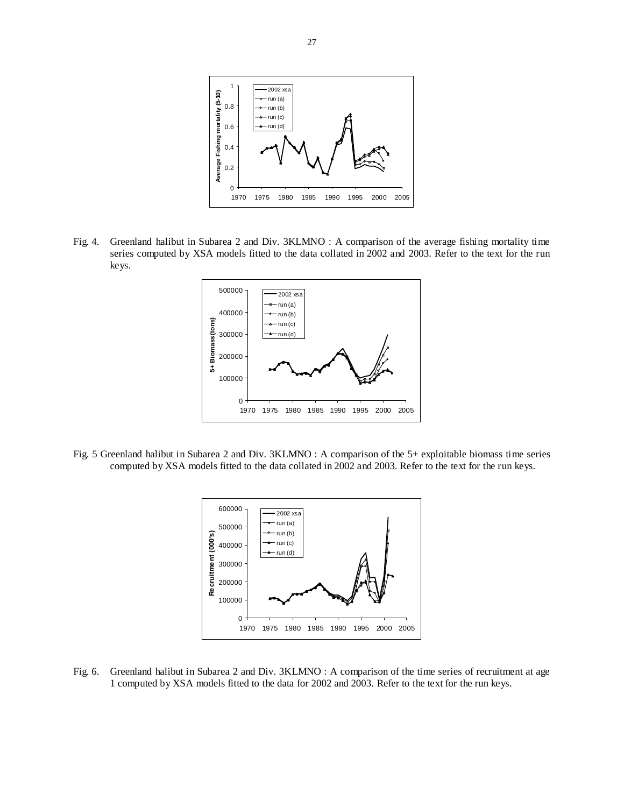

Fig. 4. Greenland halibut in Subarea 2 and Div. 3KLMNO : A comparison of the average fishing mortality time series computed by XSA models fitted to the data collated in 2002 and 2003. Refer to the text for the run keys.



Fig. 5 Greenland halibut in Subarea 2 and Div. 3KLMNO : A comparison of the 5+ exploitable biomass time series computed by XSA models fitted to the data collated in 2002 and 2003. Refer to the text for the run keys.



Fig. 6. Greenland halibut in Subarea 2 and Div. 3KLMNO : A comparison of the time series of recruitment at age 1 computed by XSA models fitted to the data for 2002 and 2003. Refer to the text for the run keys.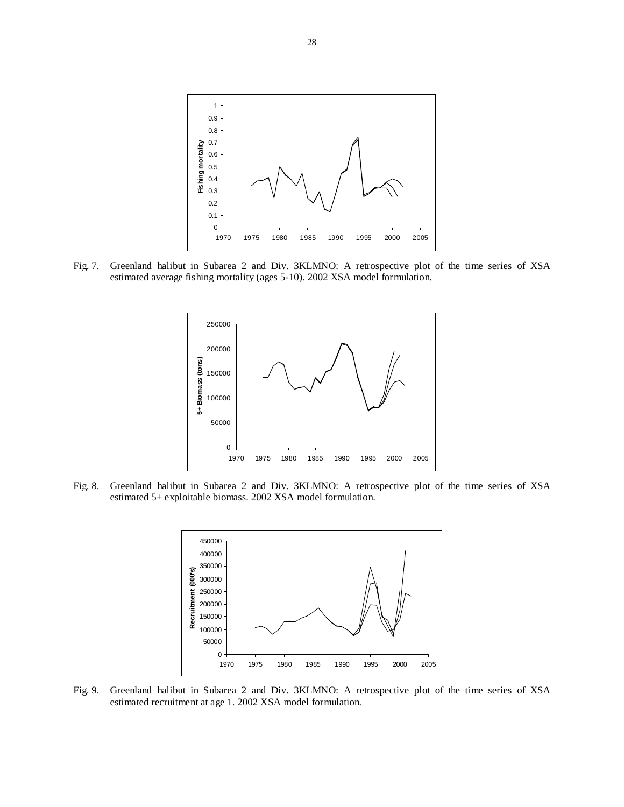

Fig. 7. Greenland halibut in Subarea 2 and Div. 3KLMNO: A retrospective plot of the time series of XSA estimated average fishing mortality (ages 5-10). 2002 XSA model formulation.



Fig. 8. Greenland halibut in Subarea 2 and Div. 3KLMNO: A retrospective plot of the time series of XSA estimated 5+ exploitable biomass. 2002 XSA model formulation.



Fig. 9. Greenland halibut in Subarea 2 and Div. 3KLMNO: A retrospective plot of the time series of XSA estimated recruitment at age 1. 2002 XSA model formulation.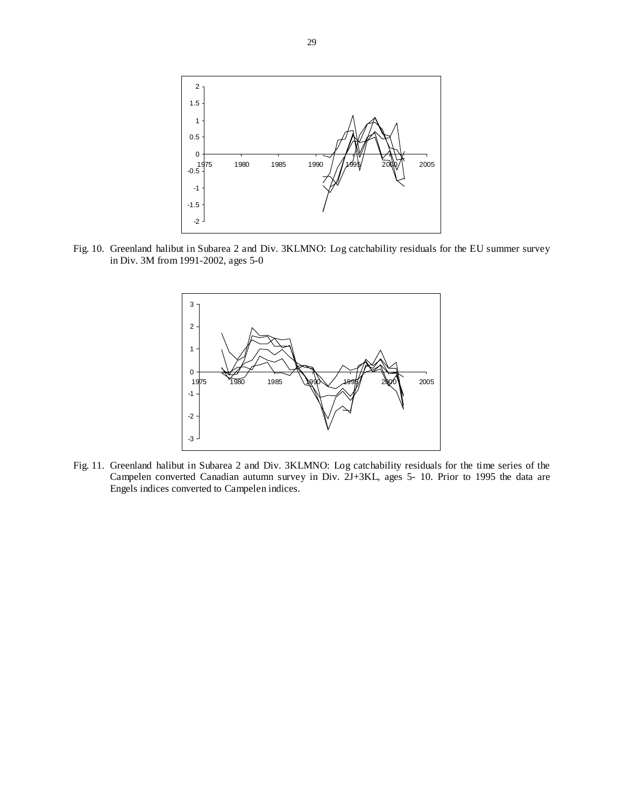

Fig. 10. Greenland halibut in Subarea 2 and Div. 3KLMNO: Log catchability residuals for the EU summer survey in Div. 3M from 1991-2002, ages 5-0



Fig. 11. Greenland halibut in Subarea 2 and Div. 3KLMNO: Log catchability residuals for the time series of the Campelen converted Canadian autumn survey in Div. 2J+3KL, ages 5- 10. Prior to 1995 the data are Engels indices converted to Campelen indices.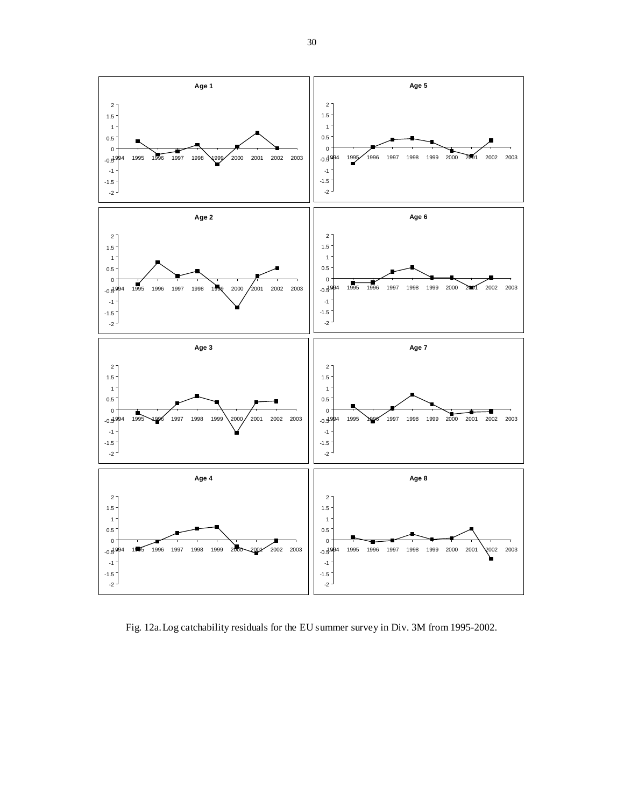

Fig. 12a. Log catchability residuals for the EU summer survey in Div. 3M from 1995-2002.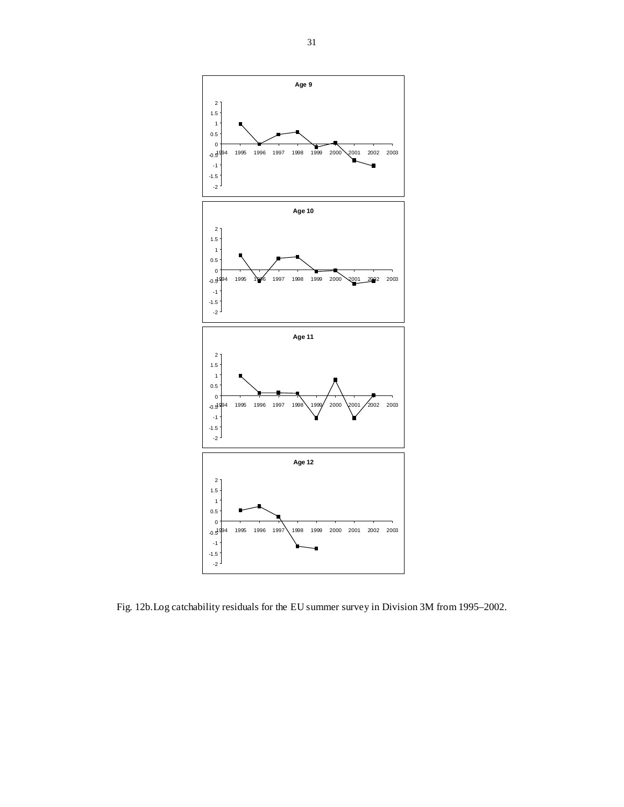

Fig. 12b.Log catchability residuals for the EU summer survey in Division 3M from 1995–2002.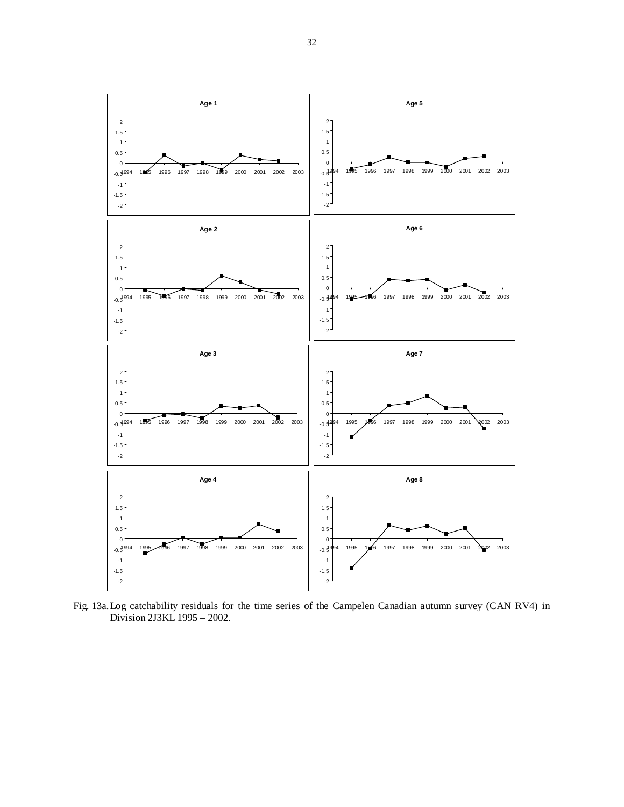

Fig. 13a. Log catchability residuals for the time series of the Campelen Canadian autumn survey (CAN RV4) in Division 2J3KL 1995 – 2002.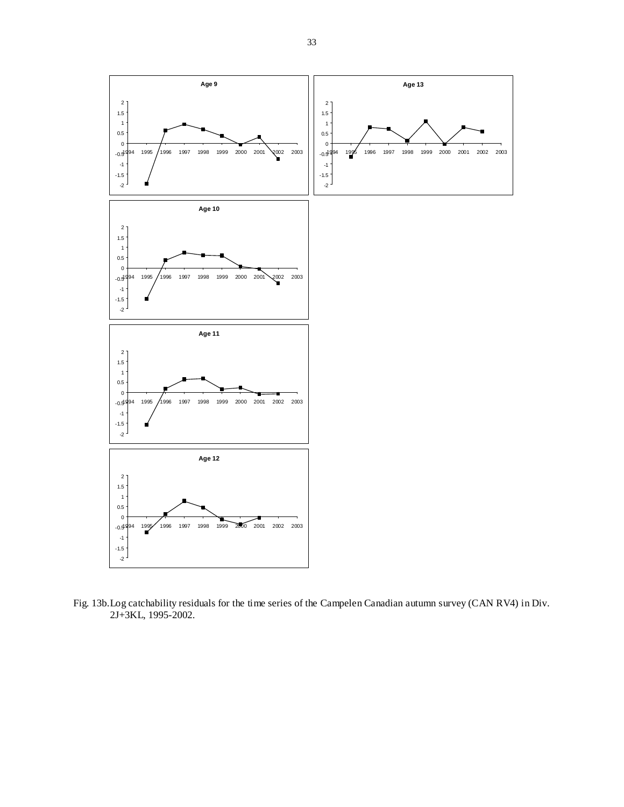

Fig. 13b.Log catchability residuals for the time series of the Campelen Canadian autumn survey (CAN RV4) in Div. 2J+3KL, 1995-2002.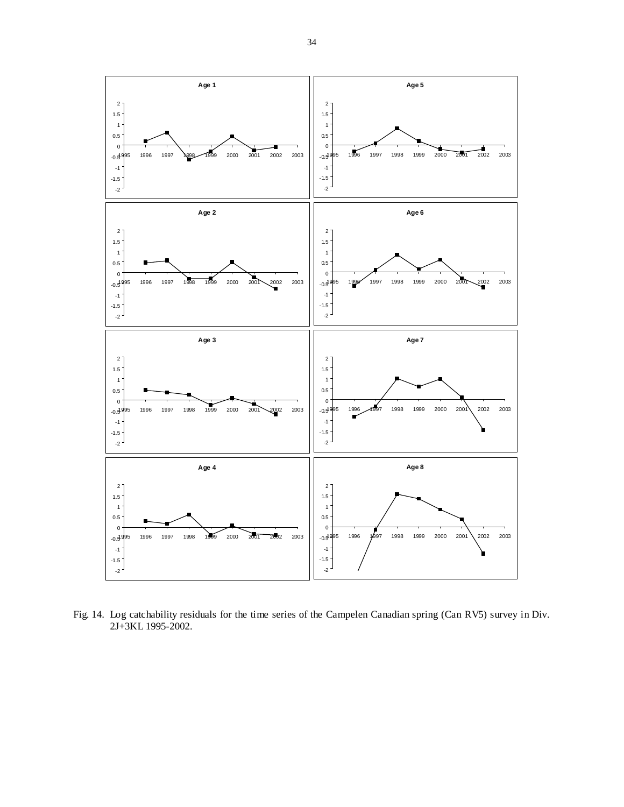

Fig. 14. Log catchability residuals for the time series of the Campelen Canadian spring (Can RV5) survey in Div. 2J+3KL 1995-2002.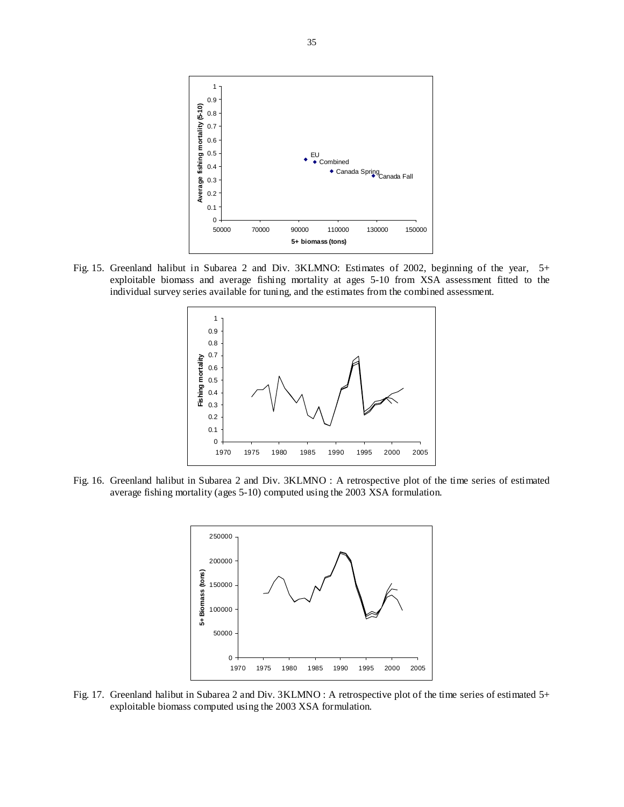

Fig. 15. Greenland halibut in Subarea 2 and Div. 3KLMNO: Estimates of 2002, beginning of the year, 5+ exploitable biomass and average fishing mortality at ages 5-10 from XSA assessment fitted to the individual survey series available for tuning, and the estimates from the combined assessment.



Fig. 16. Greenland halibut in Subarea 2 and Div. 3KLMNO : A retrospective plot of the time series of estimated average fishing mortality (ages 5-10) computed using the 2003 XSA formulation.



Fig. 17. Greenland halibut in Subarea 2 and Div. 3KLMNO : A retrospective plot of the time series of estimated 5+ exploitable biomass computed using the 2003 XSA formulation.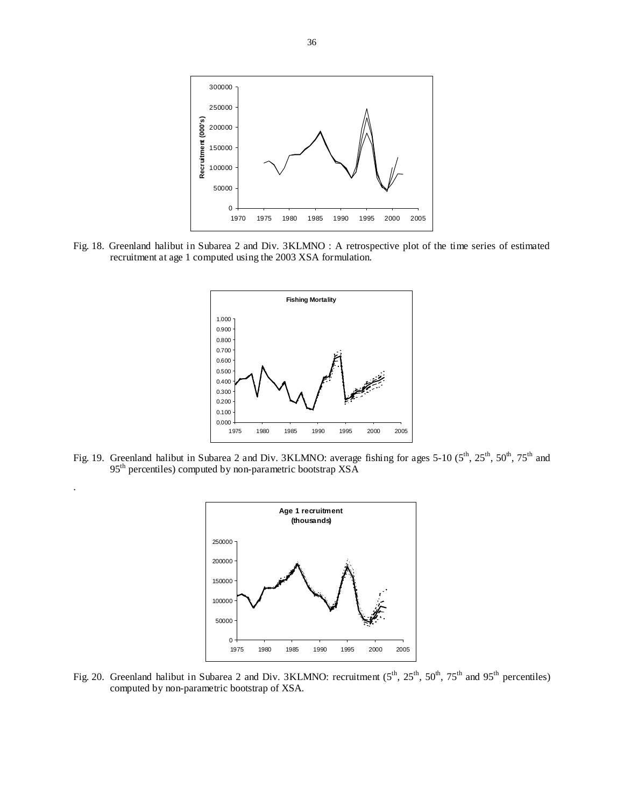

Fig. 18. Greenland halibut in Subarea 2 and Div. 3KLMNO : A retrospective plot of the time series of estimated recruitment at age 1 computed using the 2003 XSA formulation.



Fig. 19. Greenland halibut in Subarea 2 and Div. 3KLMNO: average fishing for ages 5-10 (5<sup>th</sup>, 25<sup>th</sup>, 50<sup>th</sup>, 75<sup>th</sup> and 95<sup>th</sup> percentiles) computed by non-parametric bootstrap XSA

.



Fig. 20. Greenland halibut in Subarea 2 and Div. 3KLMNO: recruitment (5<sup>th</sup>, 25<sup>th</sup>, 50<sup>th</sup>, 75<sup>th</sup> and 95<sup>th</sup> percentiles) computed by non-parametric bootstrap of XSA.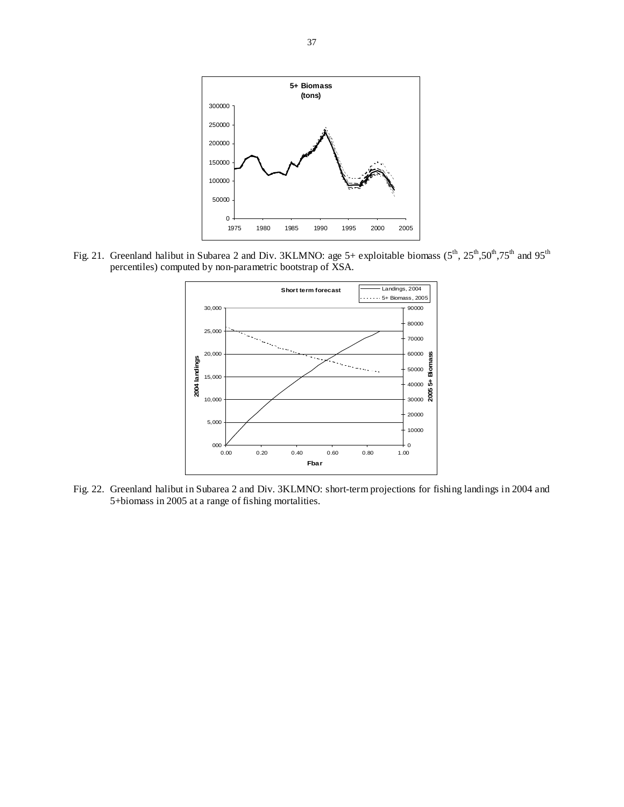

Fig. 21. Greenland halibut in Subarea 2 and Div. 3KLMNO: age 5+ exploitable biomass  $(5^{th}, 25^{th}, 50^{th}, 75^{th}$  and 95<sup>th</sup> percentiles) computed by non-parametric bootstrap of XSA.



Fig. 22. Greenland halibut in Subarea 2 and Div. 3KLMNO: short-term projections for fishing landings in 2004 and 5+biomass in 2005 at a range of fishing mortalities.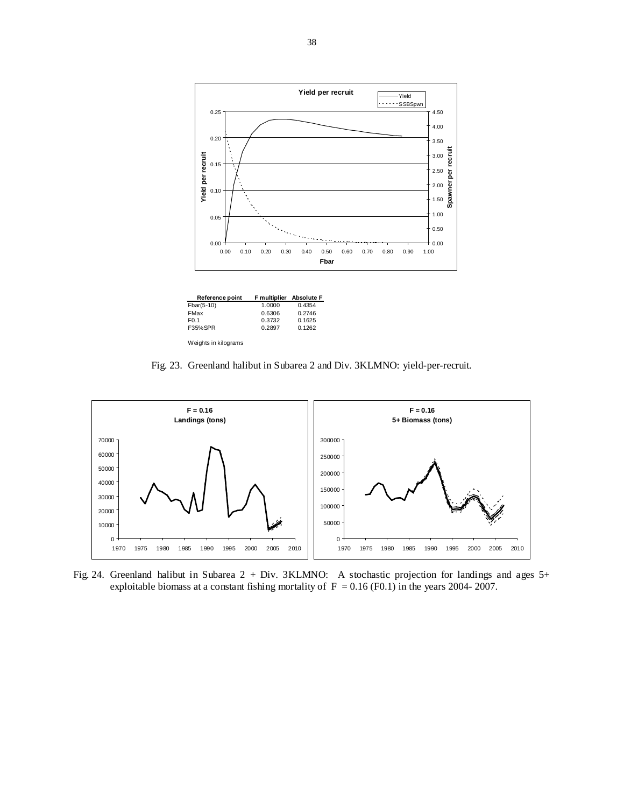

| Reference point      | <b>F</b> multiplier | <b>Absolute F</b> |
|----------------------|---------------------|-------------------|
| Fbar(5-10)           | 1.0000              | 0.4354            |
| FMax                 | 0.6306              | 0.2746            |
| F <sub>0.1</sub>     | 0.3732              | 0.1625            |
| F35%SPR              | 0.2897              | 0.1262            |
| Weights in kilograms |                     |                   |

Fig. 23. Greenland halibut in Subarea 2 and Div. 3KLMNO: yield-per-recruit.



Fig. 24. Greenland halibut in Subarea 2 + Div. 3KLMNO: A stochastic projection for landings and ages 5+ exploitable biomass at a constant fishing mortality of  $F = 0.16$  (F0.1) in the years 2004- 2007.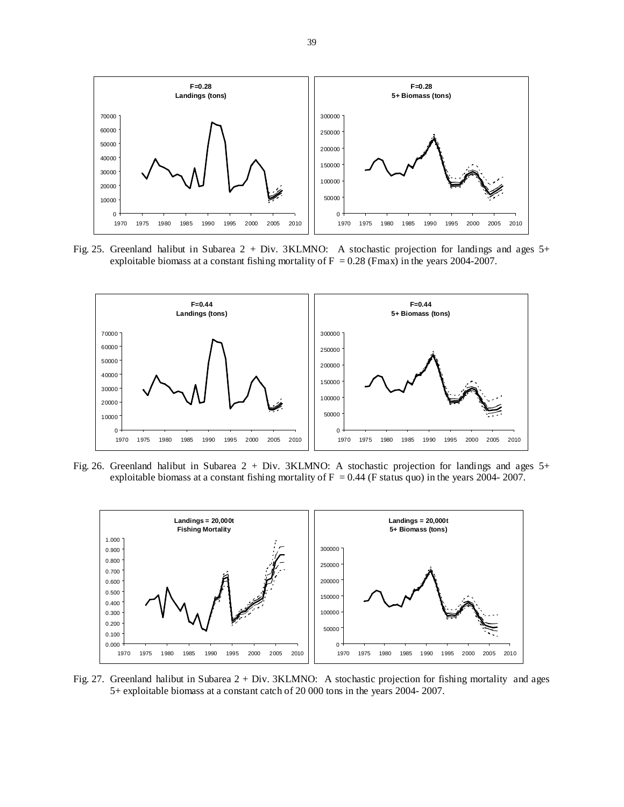

Fig. 25. Greenland halibut in Subarea 2 + Div. 3KLMNO: A stochastic projection for landings and ages 5+ exploitable biomass at a constant fishing mortality of  $F = 0.28$  (Fmax) in the years 2004-2007.



Fig. 26. Greenland halibut in Subarea 2 + Div. 3KLMNO: A stochastic projection for landings and ages 5+ exploitable biomass at a constant fishing mortality of  $F = 0.44$  (F status quo) in the years 2004- 2007.



Fig. 27. Greenland halibut in Subarea 2 + Div. 3KLMNO: A stochastic projection for fishing mortality and ages 5+ exploitable biomass at a constant catch of 20 000 tons in the years 2004- 2007.